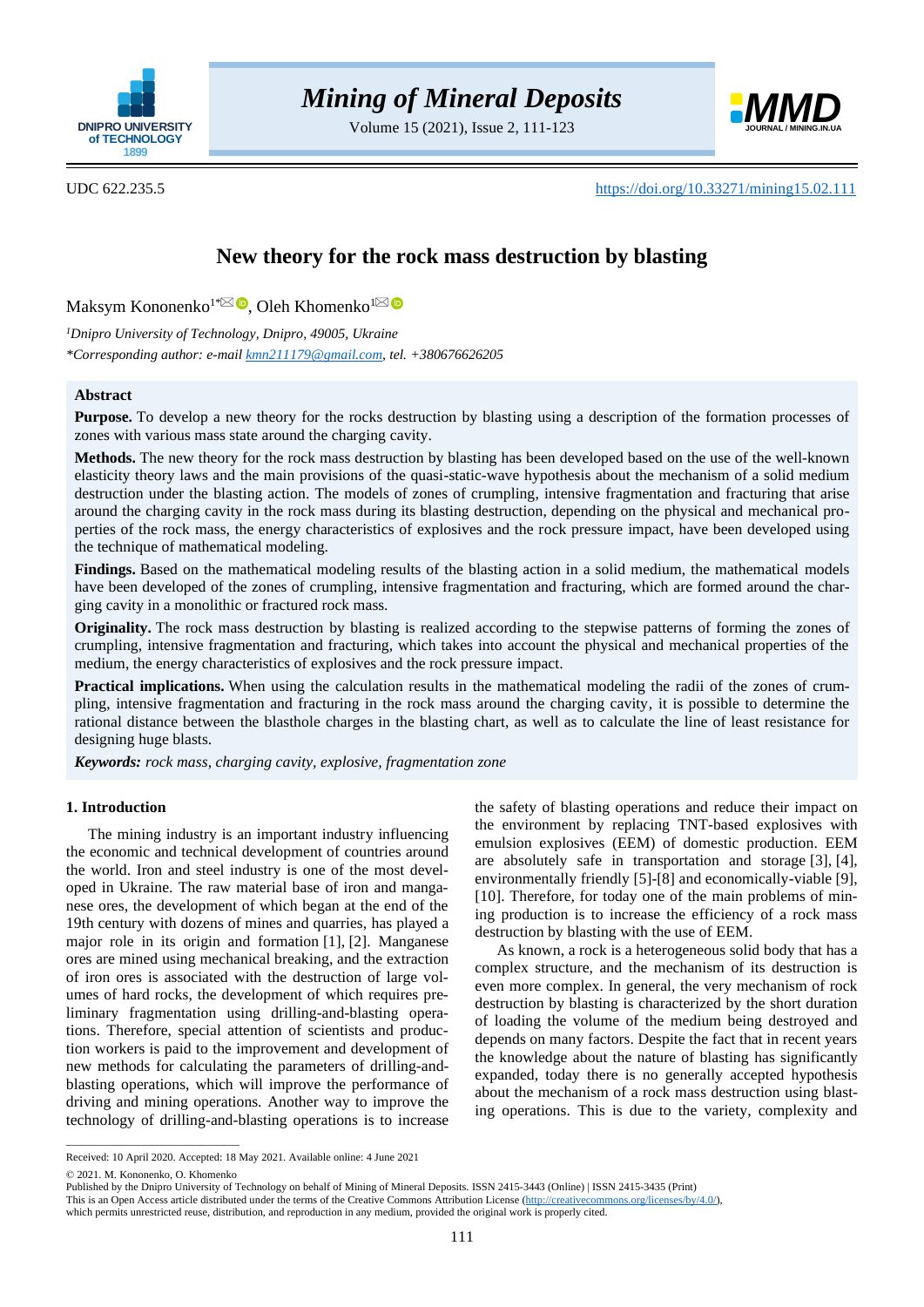

Volume 15 (2021), Issue 2, 111-123



UDC 622.235.5 <https://doi.org/10.33271/mining15.02.111>

# **New theory for the rock mass destruction by blasting**

Maksym Kononenko $1^{*\bowtie}$  $1^{*\bowtie}$  $1^{*\bowtie}$   $\bullet$ [,](http://orcid.org/0000-0002-1439-1183) Oleh Khomenko $^1$  $^1$ 

*<sup>1</sup>Dnipro University of Technology, Dnipro, 49005, Ukraine \*Corresponding author: e-mai[l kmn211179@gmail.com,](mailto:kmn211179@gmail.com) tel. +380676626205*

## **Abstract**

**Purpose.** To develop a new theory for the rocks destruction by blasting using a description of the formation processes of zones with various mass state around the charging cavity.

**Methods.** The new theory for the rock mass destruction by blasting has been developed based on the use of the well-known elasticity theory laws and the main provisions of the quasi-static-wave hypothesis about the mechanism of a solid medium destruction under the blasting action. The models of zones of crumpling, intensive fragmentation and fracturing that arise around the charging cavity in the rock mass during its blasting destruction, depending on the physical and mechanical properties of the rock mass, the energy characteristics of explosives and the rock pressure impact, have been developed using the technique of mathematical modeling.

**Findings.** Based on the mathematical modeling results of the blasting action in a solid medium, the mathematical models have been developed of the zones of crumpling, intensive fragmentation and fracturing, which are formed around the charging cavity in a monolithic or fractured rock mass.

**Originality.** The rock mass destruction by blasting is realized according to the stepwise patterns of forming the zones of crumpling, intensive fragmentation and fracturing, which takes into account the physical and mechanical properties of the medium, the energy characteristics of explosives and the rock pressure impact.

**Practical implications.** When using the calculation results in the mathematical modeling the radii of the zones of crumpling, intensive fragmentation and fracturing in the rock mass around the charging cavity, it is possible to determine the rational distance between the blasthole charges in the blasting chart, as well as to calculate the line of least resistance for designing huge blasts.

*Keywords: rock mass, charging cavity, explosive, fragmentation zone*

## **1. Introduction**

The mining industry is an important industry influencing the economic and technical development of countries around the world. Iron and steel industry is one of the most developed in Ukraine. The raw material base of iron and manganese ores, the development of which began at the end of the 19th century with dozens of mines and quarries, has played a major role in its origin and formation [\[1\],](#page-10-0) [\[2\].](#page-10-1) Manganese ores are mined using mechanical breaking, and the extraction of iron ores is associated with the destruction of large volumes of hard rocks, the development of which requires preliminary fragmentation using drilling-and-blasting operations. Therefore, special attention of scientists and production workers is paid to the improvement and development of new methods for calculating the parameters of drilling-andblasting operations, which will improve the performance of driving and mining operations. Another way to improve the technology of drilling-and-blasting operations is to increase

the safety of blasting operations and reduce their impact on the environment by replacing TNT-based explosives with emulsion explosives (EEM) of domestic production. EEM are absolutely safe in transportation and storage [\[3\],](#page-10-2) [\[4\],](#page-10-3) environmentally friendly [\[5\]](#page-10-4)[-\[8\]](#page-10-5) and economically-viable [\[9\],](#page-10-6) [\[10\].](#page-10-7) Therefore, for today one of the main problems of mining production is to increase the efficiency of a rock mass destruction by blasting with the use of EEM.

As known, a rock is a heterogeneous solid body that has a complex structure, and the mechanism of its destruction is even more complex. In general, the very mechanism of rock destruction by blasting is characterized by the short duration of loading the volume of the medium being destroyed and depends on many factors. Despite the fact that in recent years the knowledge about the nature of blasting has significantly expanded, today there is no generally accepted hypothesis about the mechanism of a rock mass destruction using blasting operations. This is due to the variety, complexity and

 $\overline{\phantom{a}}$  , and the set of the set of the set of the set of the set of the set of the set of the set of the set of the set of the set of the set of the set of the set of the set of the set of the set of the set of the s

Received: 10 April 2020. Accepted: 18 May 2021. Available online: 4 June 2021

<sup>© 2021.</sup> M. Kononenko, O. Khomenko

Published by the Dnipro University of Technology on behalf of Mining of Mineral Deposits. ISSN 2415-3443 (Online) | ISSN 2415-3435 (Print)

This is an Open Access article distributed under the terms of the Creative Commons Attribution License [\(http://creativecommons.org/licenses/by/4.0/\)](http://creativecommons.org/licenses/by/4.0/),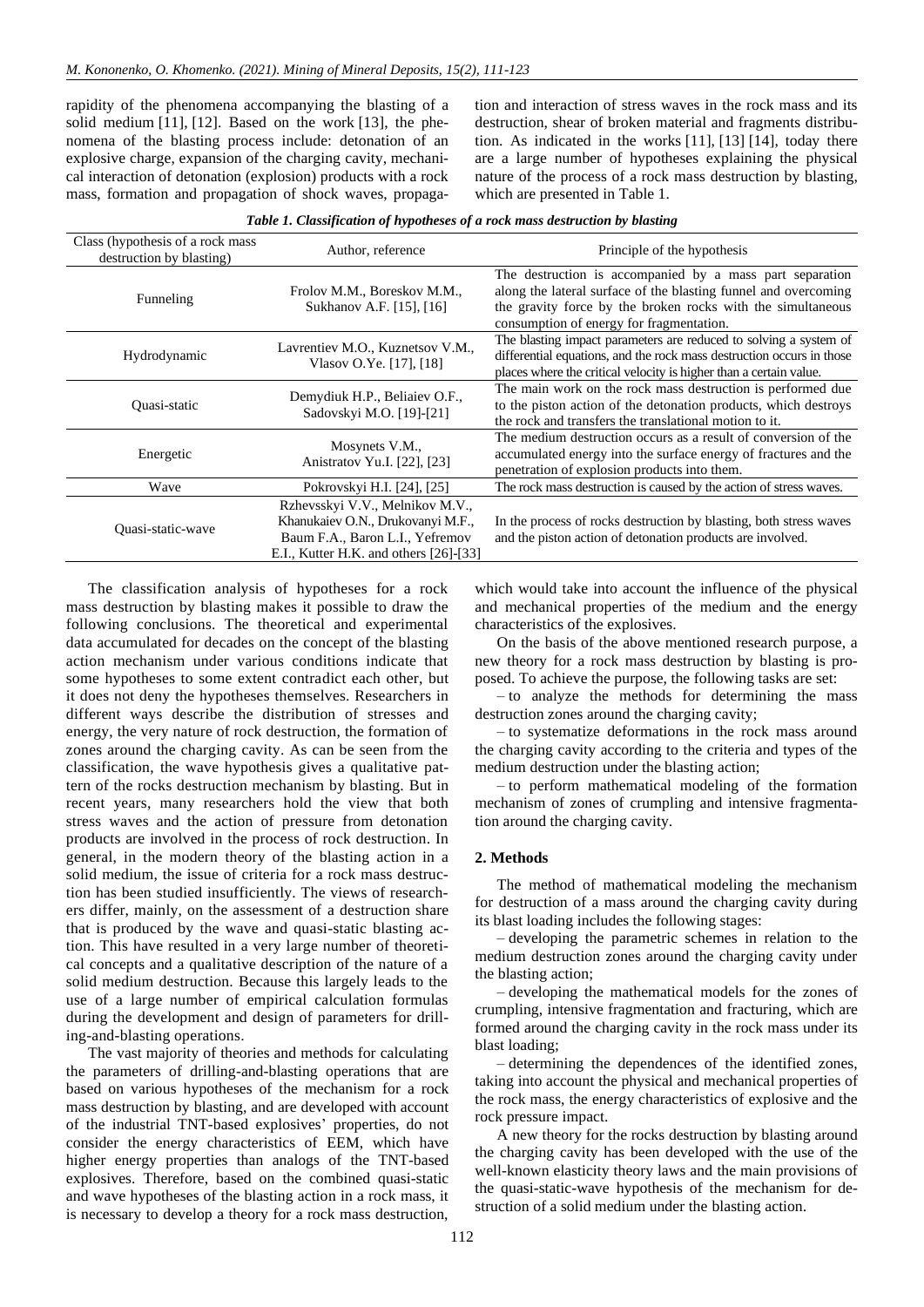rapidity of the phenomena accompanying the blasting of a solid medium [\[11\],](#page-10-8) [\[12\].](#page-10-9) Based on the work [\[13\],](#page-10-10) the phenomena of the blasting process include: detonation of an explosive charge, expansion of the charging cavity, mechanical interaction of detonation (explosion) products with a rock mass, formation and propagation of shock waves, propagation and interaction of stress waves in the rock mass and its destruction, shear of broken material and fragments distribution. As indicated in the works [\[11\],](#page-10-8) [\[13\]](#page-10-10) [\[14\],](#page-10-11) today there are a large number of hypotheses explaining the physical nature of the process of a rock mass destruction by blasting, which are presented in Table 1.

|  | Table 1. Classification of hypotheses of a rock mass destruction by blasting |  |
|--|------------------------------------------------------------------------------|--|
|  |                                                                              |  |

| Class (hypothesis of a rock mass)<br>destruction by blasting) | Author, reference                                                                                                                                 | Principle of the hypothesis                                                                                                                                                                                                            |  |  |
|---------------------------------------------------------------|---------------------------------------------------------------------------------------------------------------------------------------------------|----------------------------------------------------------------------------------------------------------------------------------------------------------------------------------------------------------------------------------------|--|--|
| Funneling                                                     | Frolov M.M., Boreskov M.M.,<br>Sukhanov A.F. [15], [16]                                                                                           | The destruction is accompanied by a mass part separation<br>along the lateral surface of the blasting funnel and overcoming<br>the gravity force by the broken rocks with the simultaneous<br>consumption of energy for fragmentation. |  |  |
| Hydrodynamic                                                  | Lavrentiev M.O., Kuznetsov V.M.,<br>Vlasov O.Ye. [17], [18]                                                                                       | The blasting impact parameters are reduced to solving a system of<br>differential equations, and the rock mass destruction occurs in those<br>places where the critical velocity is higher than a certain value.                       |  |  |
| Quasi-static                                                  | Demydiuk H.P., Beliaiev O.F.,<br>Sadovskyi M.O. [19]-[21]                                                                                         | The main work on the rock mass destruction is performed due<br>to the piston action of the detonation products, which destroys<br>the rock and transfers the translational motion to it.                                               |  |  |
| Energetic                                                     | Mosynets V.M.,<br>Anistratov Yu.I. [22], [23]                                                                                                     | The medium destruction occurs as a result of conversion of the<br>accumulated energy into the surface energy of fractures and the<br>penetration of explosion products into them.                                                      |  |  |
| Wave                                                          | Pokrovskyi H.I. [24], [25]                                                                                                                        | The rock mass destruction is caused by the action of stress waves.                                                                                                                                                                     |  |  |
| Quasi-static-wave                                             | Rzhevsskyi V.V., Melnikov M.V.,<br>Khanukaiev O.N., Drukovanyi M.F.,<br>Baum F.A., Baron L.I., Yefremov<br>E.I., Kutter H.K. and others [26]-[33] | In the process of rocks destruction by blasting, both stress waves<br>and the piston action of detonation products are involved.                                                                                                       |  |  |

The classification analysis of hypotheses for a rock mass destruction by blasting makes it possible to draw the following conclusions. The theoretical and experimental data accumulated for decades on the concept of the blasting action mechanism under various conditions indicate that some hypotheses to some extent contradict each other, but it does not deny the hypotheses themselves. Researchers in different ways describe the distribution of stresses and energy, the very nature of rock destruction, the formation of zones around the charging cavity. As can be seen from the classification, the wave hypothesis gives a qualitative pattern of the rocks destruction mechanism by blasting. But in recent years, many researchers hold the view that both stress waves and the action of pressure from detonation products are involved in the process of rock destruction. In general, in the modern theory of the blasting action in a solid medium, the issue of criteria for a rock mass destruction has been studied insufficiently. The views of researchers differ, mainly, on the assessment of a destruction share that is produced by the wave and quasi-static blasting action. This have resulted in a very large number of theoretical concepts and a qualitative description of the nature of a solid medium destruction. Because this largely leads to the use of a large number of empirical calculation formulas during the development and design of parameters for drilling-and-blasting operations.

The vast majority of theories and methods for calculating the parameters of drilling-and-blasting operations that are based on various hypotheses of the mechanism for a rock mass destruction by blasting, and are developed with account of the industrial TNT-based explosives' properties, do not consider the energy characteristics of EEM, which have higher energy properties than analogs of the TNT-based explosives. Therefore, based on the combined quasi-static and wave hypotheses of the blasting action in a rock mass, it is necessary to develop a theory for a rock mass destruction,

which would take into account the influence of the physical and mechanical properties of the medium and the energy characteristics of the explosives.

On the basis of the above mentioned research purpose, a new theory for a rock mass destruction by blasting is proposed. To achieve the purpose, the following tasks are set:

– to analyze the methods for determining the mass destruction zones around the charging cavity;

– to systematize deformations in the rock mass around the charging cavity according to the criteria and types of the medium destruction under the blasting action;

– to perform mathematical modeling of the formation mechanism of zones of crumpling and intensive fragmentation around the charging cavity.

## **2. Methods**

The method of mathematical modeling the mechanism for destruction of a mass around the charging cavity during its blast loading includes the following stages:

– developing the parametric schemes in relation to the medium destruction zones around the charging cavity under the blasting action;

– developing the mathematical models for the zones of crumpling, intensive fragmentation and fracturing, which are formed around the charging cavity in the rock mass under its blast loading;

– determining the dependences of the identified zones, taking into account the physical and mechanical properties of the rock mass, the energy characteristics of explosive and the rock pressure impact.

A new theory for the rocks destruction by blasting around the charging cavity has been developed with the use of the well-known elasticity theory laws and the main provisions of the quasi-static-wave hypothesis of the mechanism for destruction of a solid medium under the blasting action.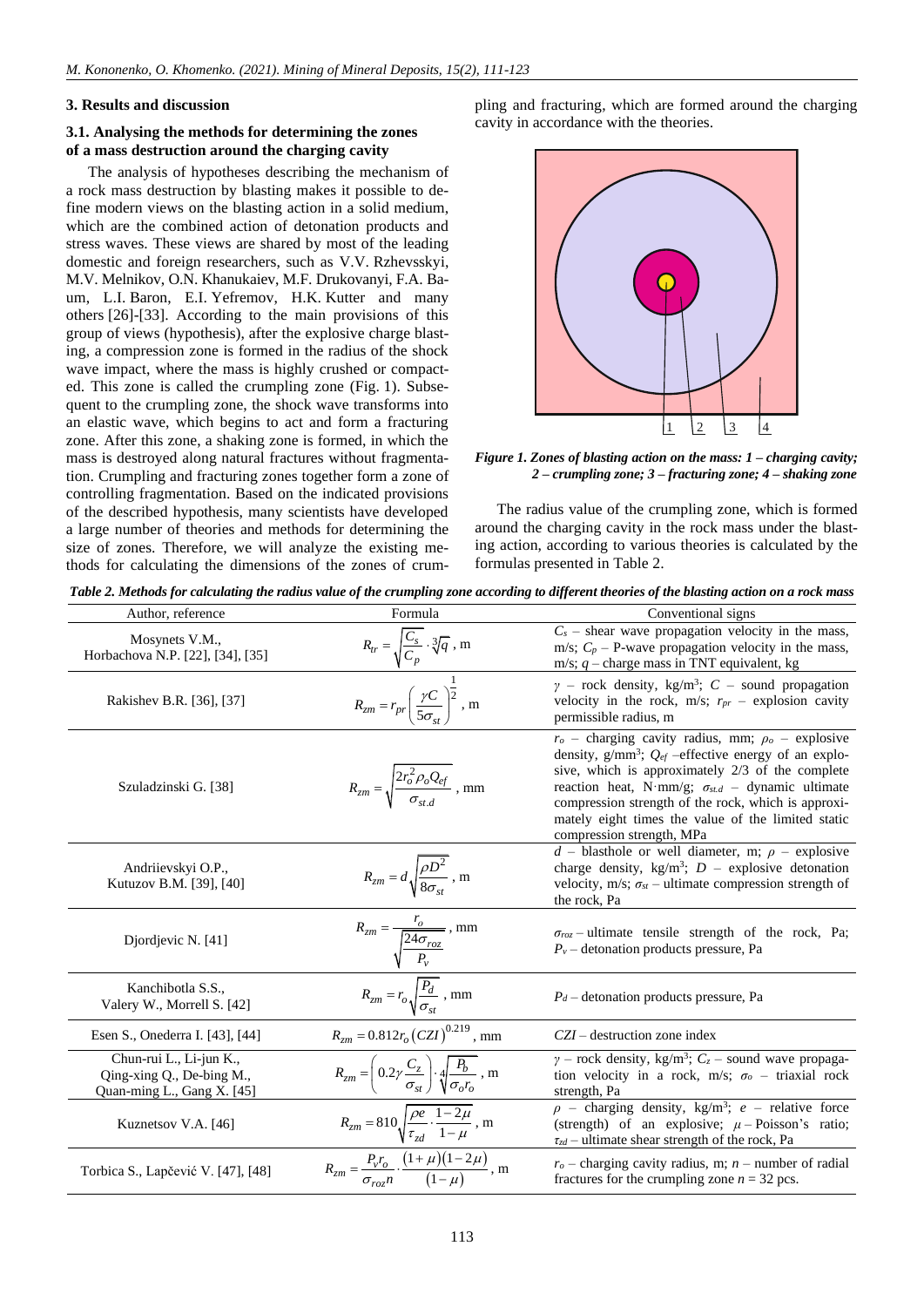## **3. Results and discussion**

# **3.1. Analysing the methods for determining the zones of a mass destruction around the charging cavity**

The analysis of hypotheses describing the mechanism of a rock mass destruction by blasting makes it possible to define modern views on the blasting action in a solid medium, which are the combined action of detonation products and stress waves. These views are shared by most of the leading domestic and foreign researchers, such as V.V. Rzhevsskyi, M.V. Melnikov, O.N. Khanukaiev, M.F. Drukovanyi, F.A. Baum, L.I. Baron, E.I. Yefremov, H.K. Kutter and many others [\[26\]](#page-10-22)[-\[33\].](#page-10-23) According to the main provisions of this group of views (hypothesis), after the explosive charge blasting, a compression zone is formed in the radius of the shock wave impact, where the mass is highly crushed or compacted. This zone is called the crumpling zone (Fig. 1). Subsequent to the crumpling zone, the shock wave transforms into an elastic wave, which begins to act and form a fracturing zone. After this zone, a shaking zone is formed, in which the mass is destroyed along natural fractures without fragmentation. Crumpling and fracturing zones together form a zone of controlling fragmentation. Based on the indicated provisions of the described hypothesis, many scientists have developed a large number of theories and methods for determining the size of zones. Therefore, we will analyze the existing methods for calculating the dimensions of the zones of crumpling and fracturing, which are formed around the charging cavity in accordance with the theories.



*Figure 1. Zones of blasting action on the mass: 1 – charging cavity; 2 – crumpling zone; 3 – fracturing zone; 4 – shaking zone*

The radius value of the crumpling zone, which is formed around the charging cavity in the rock mass under the blasting action, according to various theories is calculated by the formulas presented in Table 2.

*Table 2. Methods for calculating the radius value of the crumpling zone according to different theories of the blasting action on a rock mass*

| Author, reference                                                                  | Formula                                                                                                             | Conventional signs                                                                                                                                                                                                                                                                                                                                                               |
|------------------------------------------------------------------------------------|---------------------------------------------------------------------------------------------------------------------|----------------------------------------------------------------------------------------------------------------------------------------------------------------------------------------------------------------------------------------------------------------------------------------------------------------------------------------------------------------------------------|
| Mosynets V.M.,<br>Horbachova N.P. [22], [34], [35]                                 | $R_{tr} = \sqrt{\frac{C_s}{C_p}} \cdot \sqrt[3]{q}$ , m                                                             | $C_s$ – shear wave propagation velocity in the mass,<br>m/s; $C_p$ – P-wave propagation velocity in the mass,<br>m/s; $q$ – charge mass in TNT equivalent, kg                                                                                                                                                                                                                    |
| Rakishev B.R. [36], [37]                                                           | $R_{zm} = r_{pr} \left(\frac{\gamma C}{5\sigma_{\rm ct}}\right)^{\frac{1}{2}}$ , m                                  | $\gamma$ – rock density, kg/m <sup>3</sup> ; C – sound propagation<br>velocity in the rock, $m/s$ ; $r_{pr}$ – explosion cavity<br>permissible radius, m                                                                                                                                                                                                                         |
| Szuladzinski G. [38]                                                               | $R_{zm} = \sqrt{\frac{2r_o^2 \rho_o Q_{ef}}{\sigma_{std}}}$ , mm                                                    | $ro$ – charging cavity radius, mm; $\rhoo$ – explosive<br>density, $g/mm^3$ ; $Q_{ef}$ -effective energy of an explo-<br>sive, which is approximately 2/3 of the complete<br>reaction heat, N·mm/g; $\sigma_{st.d}$ – dynamic ultimate<br>compression strength of the rock, which is approxi-<br>mately eight times the value of the limited static<br>compression strength, MPa |
| Andriievskyi O.P.,<br>Kutuzov B.M. [39], [40]                                      | $R_{zm} = d \sqrt{\frac{\rho D^2}{8 \sigma_{\rm cr}}}$ , m                                                          | $d$ – blasthole or well diameter, m; $\rho$ – explosive<br>charge density, kg/m <sup>3</sup> ; $D$ – explosive detonation<br>velocity, m/s; $\sigma_{st}$ – ultimate compression strength of<br>the rock, Pa                                                                                                                                                                     |
| Diordievic N. [41]                                                                 | $R_{zm} = \frac{r_o}{\sqrt{\frac{24\sigma_{roz}}{P_v}}}$ , mm<br>$R_{zm} = r_o \sqrt{\frac{P_d}{\sigma_{st}}}$ , mm | $\sigma_{roz}$ – ultimate tensile strength of the rock, Pa;<br>$P_v$ – detonation products pressure, Pa                                                                                                                                                                                                                                                                          |
| Kanchibotla S.S.,<br>Valery W., Morrell S. [42]                                    |                                                                                                                     | $P_d$ – detonation products pressure, Pa                                                                                                                                                                                                                                                                                                                                         |
| Esen S., Onederra I. [43], [44]                                                    | $R_{zm} = 0.812 r_o (CZI)^{0.219}$ , mm                                                                             | $CZI$ – destruction zone index                                                                                                                                                                                                                                                                                                                                                   |
| Chun-rui L., Li-jun K.,<br>Qing-xing Q., De-bing M.,<br>Quan-ming L., Gang X. [45] | $R_{zm} = \left(0.2\gamma \frac{C_z}{\sigma_{st}}\right) \cdot \sqrt{\frac{P_b}{\sigma_o r_o}}$ , m                 | $\gamma$ – rock density, kg/m <sup>3</sup> ; $C_z$ – sound wave propaga-<br>tion velocity in a rock, m/s; $\sigma_o$ – triaxial rock<br>strength, Pa                                                                                                                                                                                                                             |
| Kuznetsov V.A. [46]                                                                | $R_{zm} = 810 \sqrt{\frac{\rho e}{\tau_{xd}} \cdot \frac{1-2\mu}{1-\mu}}$ , m                                       | $\rho$ – charging density, kg/m <sup>3</sup> ; e – relative force<br>(strength) of an explosive; $\mu$ – Poisson's ratio;<br>$\tau_{zd}$ – ultimate shear strength of the rock, Pa                                                                                                                                                                                               |
| Torbica S., Lapčević V. [47], [48]                                                 | $R_{zm} = \frac{P_v r_o}{\sigma_{ren} n} \cdot \frac{(1+\mu)(1-2\mu)}{(1-\mu)}$ , m                                 | $ro$ – charging cavity radius, m; n – number of radial<br>fractures for the crumpling zone $n = 32$ pcs.                                                                                                                                                                                                                                                                         |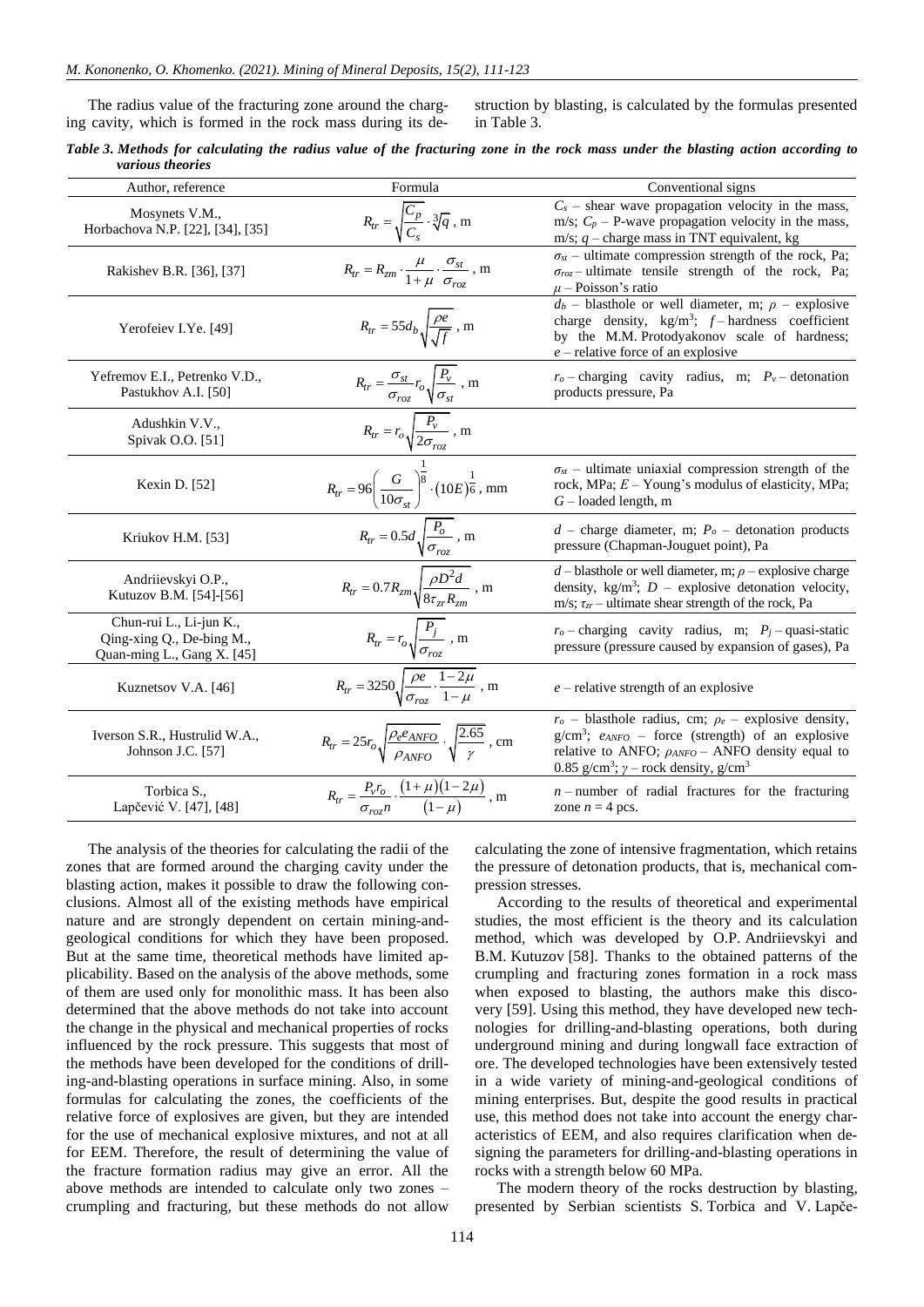The radius value of the fracturing zone around the charging cavity, which is formed in the rock mass during its destruction by blasting, is calculated by the formulas presented in Table 3.

| Table 3. Methods for calculating the radius value of the fracturing zone in the rock mass under the blasting action according to |  |  |  |  |  |  |  |  |
|----------------------------------------------------------------------------------------------------------------------------------|--|--|--|--|--|--|--|--|
| various theories                                                                                                                 |  |  |  |  |  |  |  |  |

| Author, reference                                                                  | Formula                                                                                                                     | Conventional signs                                                                                                                                                                                                                                       |
|------------------------------------------------------------------------------------|-----------------------------------------------------------------------------------------------------------------------------|----------------------------------------------------------------------------------------------------------------------------------------------------------------------------------------------------------------------------------------------------------|
| Mosynets V.M.,<br>Horbachova N.P. [22], [34], [35]                                 | $R_{tr} = \sqrt{\frac{C_p}{C_s}} \cdot \sqrt[3]{q}$ , m                                                                     | $C_s$ – shear wave propagation velocity in the mass,<br>m/s; $C_p$ – P-wave propagation velocity in the mass,<br>m/s; $q$ – charge mass in TNT equivalent, kg                                                                                            |
| Rakishev B.R. [36], [37]                                                           | $R_{tr} = R_{zm} \cdot \frac{\mu}{1 + \mu} \cdot \frac{\sigma_{st}}{\sigma_{roz}}$ , m                                      | $\sigma_{st}$ – ultimate compression strength of the rock, Pa;<br>$\sigma_{roz}$ -ultimate tensile strength of the rock, Pa;<br>$\mu$ – Poisson's ratio                                                                                                  |
| Yerofeiev I.Ye. [49]                                                               | $R_{tr} = 55d_b \sqrt{\frac{\rho e}{\sqrt{f}}}$ , m                                                                         | $d_b$ – blasthole or well diameter, m; $\rho$ – explosive<br>charge density, $\text{kg/m}^3$ ; $f$ – hardness coefficient<br>by the M.M. Protodyakonov scale of hardness;<br>$e$ – relative force of an explosive                                        |
| Yefremov E.I., Petrenko V.D.,<br>Pastukhov A.I. [50]                               | $R_{tr} = \frac{\sigma_{st}}{\sigma_{roz}} r_o \sqrt{\frac{P_v}{\sigma_{st}}}$ , m                                          | $r_o$ - charging cavity radius, m; $P_v$ - detonation<br>products pressure, Pa                                                                                                                                                                           |
| Adushkin V.V.,<br>Spivak O.O. [51]                                                 | $R_{tr} = r_o \sqrt{\frac{P_v}{2\sigma_{roz}}}$ , m                                                                         |                                                                                                                                                                                                                                                          |
| Kexin D. [52]                                                                      | $R_{tr} = 96 \left( \frac{G}{10 \sigma_{\rm{vr}}} \right)^{\frac{1}{8}} \cdot \left( 10E \right)^{\frac{1}{6}}, \, \rm{mm}$ | $\sigma_{st}$ – ultimate uniaxial compression strength of the<br>rock, MPa; $E - Young's$ modulus of elasticity, MPa;<br>$G$ – loaded length, m                                                                                                          |
| Kriukov H.M. [53]                                                                  | $R_{tr} = 0.5d \sqrt{\frac{P_o}{\sigma_{roz}}}$ , m                                                                         | $d$ – charge diameter, m; $P_o$ – detonation products<br>pressure (Chapman-Jouguet point), Pa                                                                                                                                                            |
| Andriievskyi O.P.,<br>Kutuzov B.M. [54]-[56]                                       | $R_{tr} = 0.7 R_{zm} \sqrt{\frac{\rho D^2 d}{8 \tau_{zr} R_{zm}}}$ , m                                                      | $d$ – blasthole or well diameter, m; $\rho$ – explosive charge<br>density, kg/m <sup>3</sup> ; $D$ – explosive detonation velocity,<br>m/s; $\tau_{zr}$ – ultimate shear strength of the rock, Pa                                                        |
| Chun-rui L., Li-jun K.,<br>Qing-xing Q., De-bing M.,<br>Quan-ming L., Gang X. [45] | $R_{tr} = r_o \sqrt{\frac{P_j}{\sigma_{roz}}}$ , m                                                                          | $r_o$ - charging cavity radius, m; $P_i$ - quasi-static<br>pressure (pressure caused by expansion of gases), Pa                                                                                                                                          |
| Kuznetsov V.A. [46]                                                                | $R_{tr} = 3250 \sqrt{\frac{\rho e}{\sigma_{roz}} \cdot \frac{1-2\mu}{1-\mu}}$ , m                                           | $e$ – relative strength of an explosive                                                                                                                                                                                                                  |
| Iverson S.R., Hustrulid W.A.,<br>Johnson J.C. [57]                                 | $R_{tr} = 25r_o \sqrt{\frac{\rho_e e_{ANFO}}{\rho_{ANFO}}} \cdot \sqrt{\frac{2.65}{\gamma}}$ , cm                           | $ro$ – blasthole radius, cm; $\rho_e$ – explosive density,<br>$g/cm^3$ ; $e_{ANFO}$ – force (strength) of an explosive<br>relative to ANFO; $\rho_{ANFO}$ – ANFO density equal to<br>0.85 g/cm <sup>3</sup> ; $\gamma$ – rock density, g/cm <sup>3</sup> |
| Torbica S.,<br>Lapčević V. [47], [48]                                              | $R_{tr} = \frac{P_{v} r_{o}}{\sigma_{r} r_{o}} \cdot \frac{(1+\mu)(1-2\mu)}{(1-\mu)}$ , m                                   | $n$ -number of radial fractures for the fracturing<br>zone $n = 4$ pcs.                                                                                                                                                                                  |

The analysis of the theories for calculating the radii of the zones that are formed around the charging cavity under the blasting action, makes it possible to draw the following conclusions. Almost all of the existing methods have empirical nature and are strongly dependent on certain mining-andgeological conditions for which they have been proposed. But at the same time, theoretical methods have limited applicability. Based on the analysis of the above methods, some of them are used only for monolithic mass. It has been also determined that the above methods do not take into account the change in the physical and mechanical properties of rocks influenced by the rock pressure. This suggests that most of the methods have been developed for the conditions of drilling-and-blasting operations in surface mining. Also, in some formulas for calculating the zones, the coefficients of the relative force of explosives are given, but they are intended for the use of mechanical explosive mixtures, and not at all for EEM. Therefore, the result of determining the value of the fracture formation radius may give an error. All the above methods are intended to calculate only two zones – crumpling and fracturing, but these methods do not allow

calculating the zone of intensive fragmentation, which retains the pressure of detonation products, that is, mechanical compression stresses.

According to the results of theoretical and experimental studies, the most efficient is the theory and its calculation method, which was developed by O.P. Andriievskyi and B.M. Kutuzov [\[58\].](#page-11-5) Thanks to the obtained patterns of the crumpling and fracturing zones formation in a rock mass when exposed to blasting, the authors make this discovery [\[59\].](#page-11-6) Using this method, they have developed new technologies for drilling-and-blasting operations, both during underground mining and during longwall face extraction of ore. The developed technologies have been extensively tested in a wide variety of mining-and-geological conditions of mining enterprises. But, despite the good results in practical use, this method does not take into account the energy characteristics of EEM, and also requires clarification when designing the parameters for drilling-and-blasting operations in rocks with a strength below 60 MPa.

The modern theory of the rocks destruction by blasting, presented by Serbian scientists S. Torbica and V. Lapče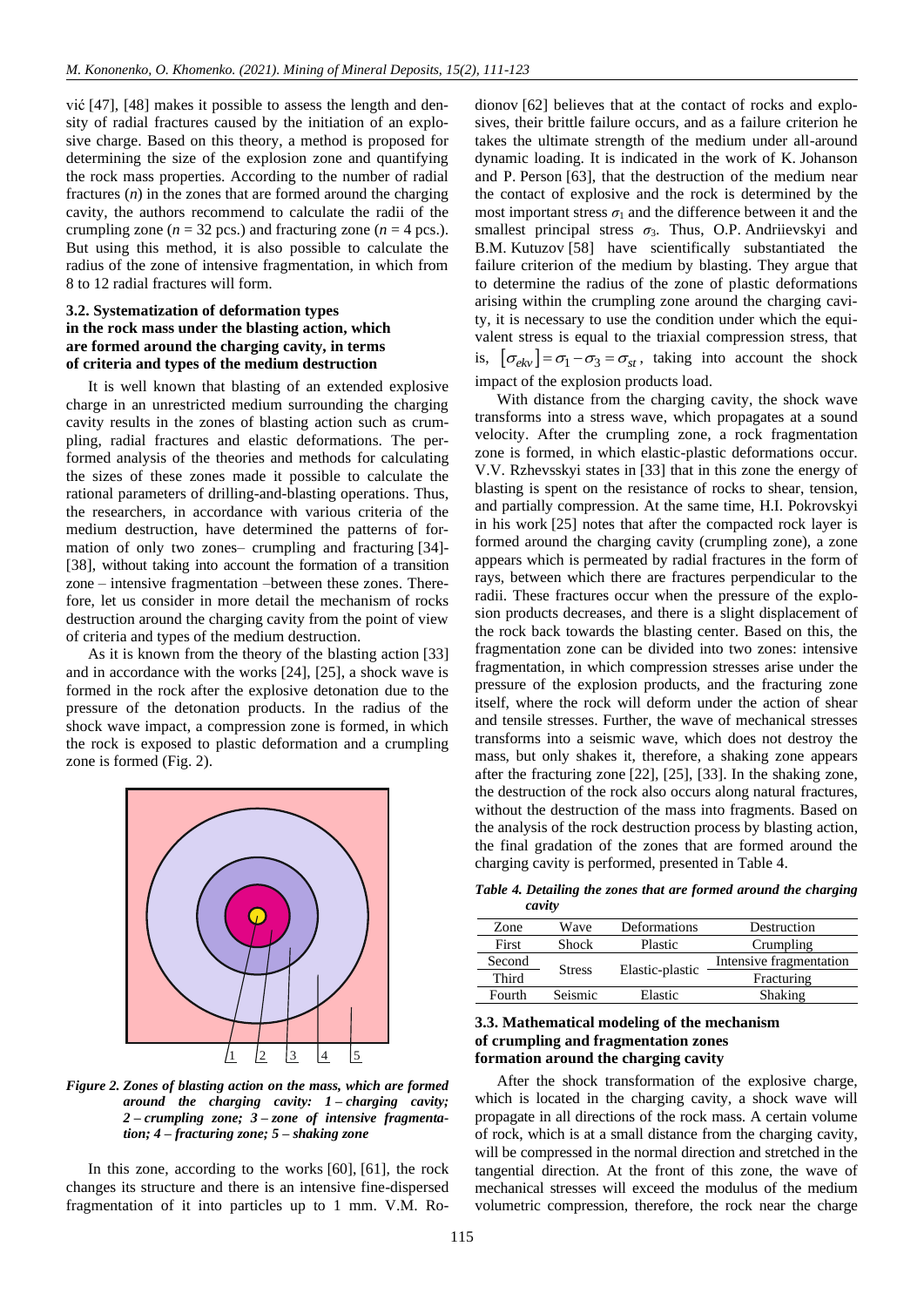vić [\[47\],](#page-10-37) [\[48\]](#page-10-38) makes it possible to assess the length and density of radial fractures caused by the initiation of an explosive charge. Based on this theory, a method is proposed for determining the size of the explosion zone and quantifying the rock mass properties. According to the number of radial fractures (*n*) in the zones that are formed around the charging cavity, the authors recommend to calculate the radii of the crumpling zone ( $n = 32$  pcs.) and fracturing zone ( $n = 4$  pcs.). But using this method, it is also possible to calculate the radius of the zone of intensive fragmentation, in which from 8 to 12 radial fractures will form.

# **3.2. Systematization of deformation types in the rock mass under the blasting action, which are formed around the charging cavity, in terms of criteria and types of the medium destruction**

It is well known that blasting of an extended explosive charge in an unrestricted medium surrounding the charging cavity results in the zones of blasting action such as crumpling, radial fractures and elastic deformations. The performed analysis of the theories and methods for calculating the sizes of these zones made it possible to calculate the rational parameters of drilling-and-blasting operations. Thus, the researchers, in accordance with various criteria of the medium destruction, have determined the patterns of formation of only two zones– crumpling and fracturing [\[34\]-](#page-10-24) [\[38\],](#page-10-28) without taking into account the formation of a transition zone – intensive fragmentation –between these zones. Therefore, let us consider in more detail the mechanism of rocks destruction around the charging cavity from the point of view of criteria and types of the medium destruction.

As it is known from the theory of the blasting action [\[33\]](#page-10-23) and in accordance with the works [\[24\],](#page-10-20) [\[25\],](#page-10-21) a shock wave is formed in the rock after the explosive detonation due to the pressure of the detonation products. In the radius of the shock wave impact, a compression zone is formed, in which the rock is exposed to plastic deformation and a crumpling zone is formed (Fig. 2).



*Figure 2. Zones of blasting action on the mass, which are formed around the charging cavity: 1 – charging cavity; 2 – crumpling zone; 3 – zone of intensive fragmentation; 4 – fracturing zone; 5 – shaking zone*

In this zone, according to the works [\[60\],](#page-11-7) [\[61\],](#page-11-8) the rock changes its structure and there is an intensive fine-dispersed fragmentation of it into particles up to 1 mm. V.M. Rodionov [\[62\]](#page-11-9) believes that at the contact of rocks and explosives, their brittle failure occurs, and as a failure criterion he takes the ultimate strength of the medium under all-around dynamic loading. It is indicated in the work of K. Johanson and P. Person [\[63\],](#page-11-10) that the destruction of the medium near the contact of explosive and the rock is determined by the most important stress  $\sigma_1$  and the difference between it and the smallest principal stress  $\sigma_3$ . Thus, O.P. Andriievskyi and B.M. Kutuzov [\[58\]](#page-11-5) have scientifically substantiated the failure criterion of the medium by blasting. They argue that to determine the radius of the zone of plastic deformations arising within the crumpling zone around the charging cavity, it is necessary to use the condition under which the equivalent stress is equal to the triaxial compression stress, that is,  $[\sigma_{ekv}] = \sigma_1 - \sigma_3 = \sigma_{st}$ , taking into account the shock impact of the explosion products load.

With distance from the charging cavity, the shock wave transforms into a stress wave, which propagates at a sound velocity. After the crumpling zone, a rock fragmentation zone is formed, in which elastic-plastic deformations occur. V.V. Rzhevsskyi states in [\[33\]](#page-10-23) that in this zone the energy of blasting is spent on the resistance of rocks to shear, tension, and partially compression. At the same time, H.I. Pokrovskyi in his work [\[25\]](#page-10-21) notes that after the compacted rock layer is formed around the charging cavity (crumpling zone), a zone appears which is permeated by radial fractures in the form of rays, between which there are fractures perpendicular to the radii. These fractures occur when the pressure of the explosion products decreases, and there is a slight displacement of the rock back towards the blasting center. Based on this, the fragmentation zone can be divided into two zones: intensive fragmentation, in which compression stresses arise under the pressure of the explosion products, and the fracturing zone itself, where the rock will deform under the action of shear and tensile stresses. Further, the wave of mechanical stresses transforms into a seismic wave, which does not destroy the mass, but only shakes it, therefore, a shaking zone appears after the fracturing zone [\[22\],](#page-10-18) [\[25\],](#page-10-21) [\[33\].](#page-10-23) In the shaking zone, the destruction of the rock also occurs along natural fractures, without the destruction of the mass into fragments. Based on the analysis of the rock destruction process by blasting action, the final gradation of the zones that are formed around the charging cavity is performed, presented in Table 4.

*Table 4. Detailing the zones that are formed around the charging cavity*

| Zone   | Wave          | Deformations    | Destruction             |
|--------|---------------|-----------------|-------------------------|
| First  | Shock         | Plastic         | Crumpling               |
| Second |               |                 | Intensive fragmentation |
| Third  | <b>Stress</b> | Elastic-plastic | Fracturing              |
| Fourth | Seismic       | Elastic         | Shaking                 |

## **3.3. Mathematical modeling of the mechanism of crumpling and fragmentation zones formation around the charging cavity**

After the shock transformation of the explosive charge, which is located in the charging cavity, a shock wave will propagate in all directions of the rock mass. A certain volume of rock, which is at a small distance from the charging cavity, will be compressed in the normal direction and stretched in the tangential direction. At the front of this zone, the wave of mechanical stresses will exceed the modulus of the medium volumetric compression, therefore, the rock near the charge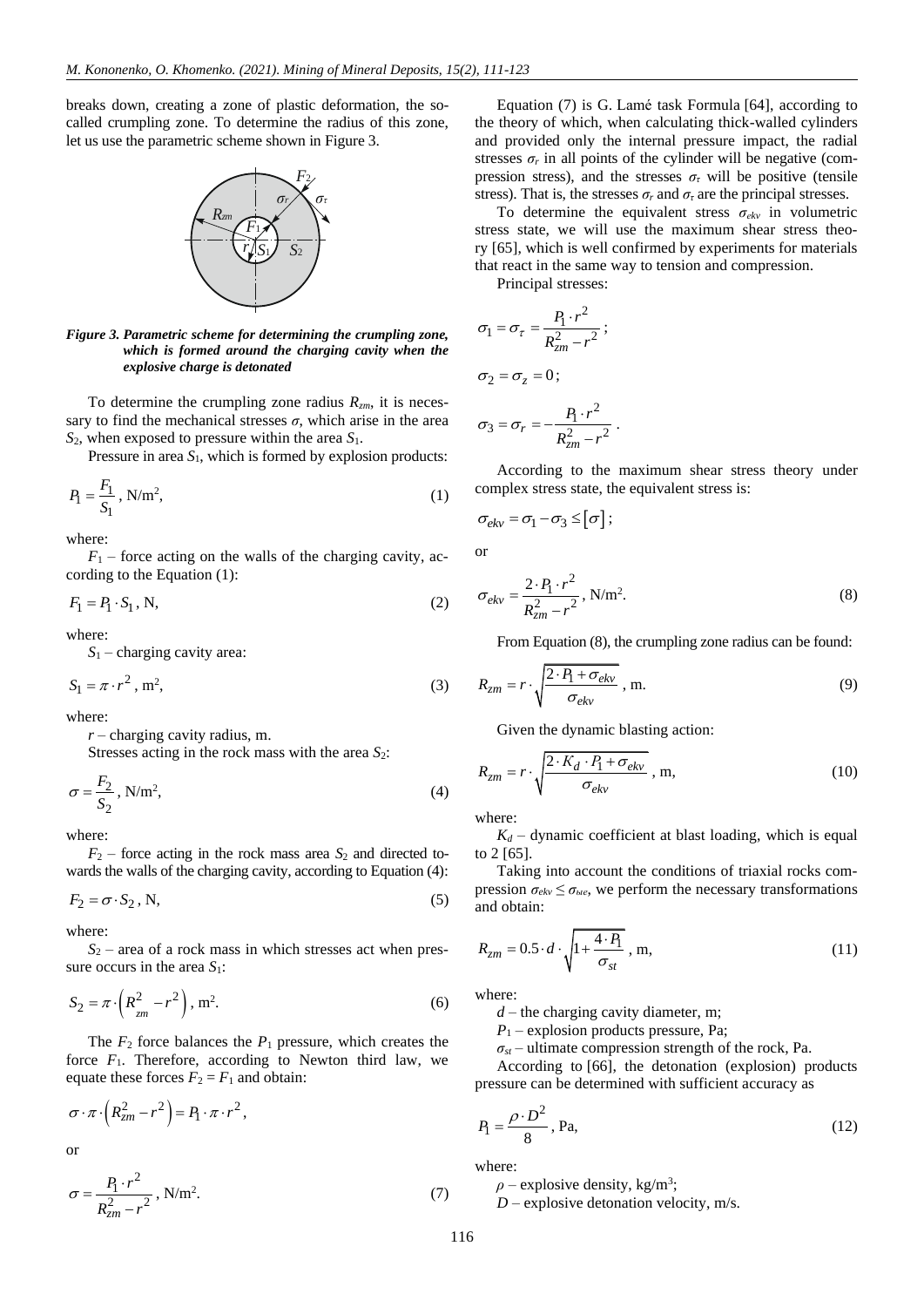breaks down, creating a zone of plastic deformation, the socalled crumpling zone. To determine the radius of this zone, let us use the parametric scheme shown in Figure 3.



*Figure 3. Parametric scheme for determining the crumpling zone, which is formed around the charging cavity when the explosive charge is detonated*

To determine the crumpling zone radius *Rzm*, it is necessary to find the mechanical stresses  $\sigma$ , which arise in the area *S*2, when exposed to pressure within the area *S*1.

Pressure in area  $S_1$ , which is formed by explosion products:

$$
P_1 = \frac{F_1}{S_1}, \text{ N/m}^2,\tag{1}
$$

where:

 $F_1$  – force acting on the walls of the charging cavity, according to the Equation (1):

$$
F_1 = P_1 \cdot S_1, \mathbf{N},\tag{2}
$$

where:

*S*<sup>1</sup> – charging cavity area:

$$
S_1 = \pi \cdot r^2, \, \text{m}^2,\tag{3}
$$

where:

*r* – charging cavity radius, m.

Stresses acting in the rock mass with the area *S*2:

$$
\sigma = \frac{F_2}{S_2}, \text{N/m}^2,\tag{4}
$$

where:

 $F_2$  – force acting in the rock mass area  $S_2$  and directed towards the walls of the charging cavity, according to Equation (4):

$$
F_2 = \sigma \cdot S_2, \text{N},\tag{5}
$$

where:

*S*<sup>2</sup> – area of a rock mass in which stresses act when pressure occurs in the area  $S_1$ :

$$
S_2 = \pi \cdot \left( R_{\frac{2}{2m}}^2 - r^2 \right), \, \text{m}^2. \tag{6}
$$

The  $F_2$  force balances the  $P_1$  pressure, which creates the force  $F_1$ . Therefore, according to Newton third law, we equate these forces  $F_2 = F_1$  and obtain:

$$
\sigma \cdot \pi \cdot \left(R_{zm}^2 - r^2\right) = P_1 \cdot \pi \cdot r^2,
$$
  
or

$$
\sigma = \frac{P_1 \cdot r^2}{R_{zm}^2 - r^2}, \text{N/m}^2. \tag{7}
$$

Equation (7) is G. Lamé task Formula [\[64\],](#page-11-11) according to the theory of which, when calculating thick-walled cylinders and provided only the internal pressure impact, the radial stresses  $\sigma_r$  in all points of the cylinder will be negative (compression stress), and the stresses  $\sigma$ <sup>*τ*</sup> will be positive (tensile stress). That is, the stresses  $\sigma_r$  and  $\sigma_{\tau}$  are the principal stresses.

To determine the equivalent stress  $\sigma_{ekv}$  in volumetric stress state, we will use the maximum shear stress theory [\[65\],](#page-11-12) which is well confirmed by experiments for materials that react in the same way to tension and compression.

Principal stresses:

$$
\sigma_1 = \sigma_\tau = \frac{P_1 \cdot r^2}{R_{zm}^2 - r^2};
$$
  
\n
$$
\sigma_2 = \sigma_z = 0;
$$
  
\n
$$
\sigma_3 = \sigma_r = -\frac{P_1 \cdot r^2}{R_{zm}^2 - r^2}.
$$

According to the maximum shear stress theory under complex stress state, the equivalent stress is:

$$
\sigma_{ekv} = \sigma_1 - \sigma_3 \leq [\sigma];
$$

or

$$
\sigma_{ekv} = \frac{2 \cdot P_1 \cdot r^2}{R_{zm}^2 - r^2}, \text{ N/m}^2. \tag{8}
$$

From Equation (8), the crumpling zone radius can be found:

$$
R_{zm} = r \cdot \sqrt{\frac{2 \cdot P_1 + \sigma_{ekv}}{\sigma_{ekv}}}, \text{ m.}
$$
 (9)

Given the dynamic blasting action:

$$
R_{zm} = r \cdot \sqrt{\frac{2 \cdot K_d \cdot P_1 + \sigma_{ekv}}{\sigma_{ekv}}}, \text{ m}, \qquad (10)
$$

where:

 $K_d$  – dynamic coefficient at blast loading, which is equal to 2 [\[65\].](#page-11-12)

Taking into account the conditions of triaxial rocks compression  $\sigma_{ekv} \leq \sigma_{ble}$ , we perform the necessary transformations and obtain:

$$
R_{zm} = 0.5 \cdot d \cdot \sqrt{1 + \frac{4 \cdot P_1}{\sigma_{st}}}, \text{ m}, \qquad (11)
$$

where:

 $d$  – the charging cavity diameter, m;

*P*<sup>1</sup> – explosion products pressure, Pa;

 $\sigma_{st}$  – ultimate compression strength of the rock, Pa.

According to [\[66\],](#page-11-13) the detonation (explosion) products pressure can be determined with sufficient accuracy as

$$
P_1 = \frac{\rho \cdot D^2}{8}, \text{Pa},\tag{12}
$$

where:

 $\rho$  – explosive density, kg/m<sup>3</sup>;

*D* – explosive detonation velocity, m/s.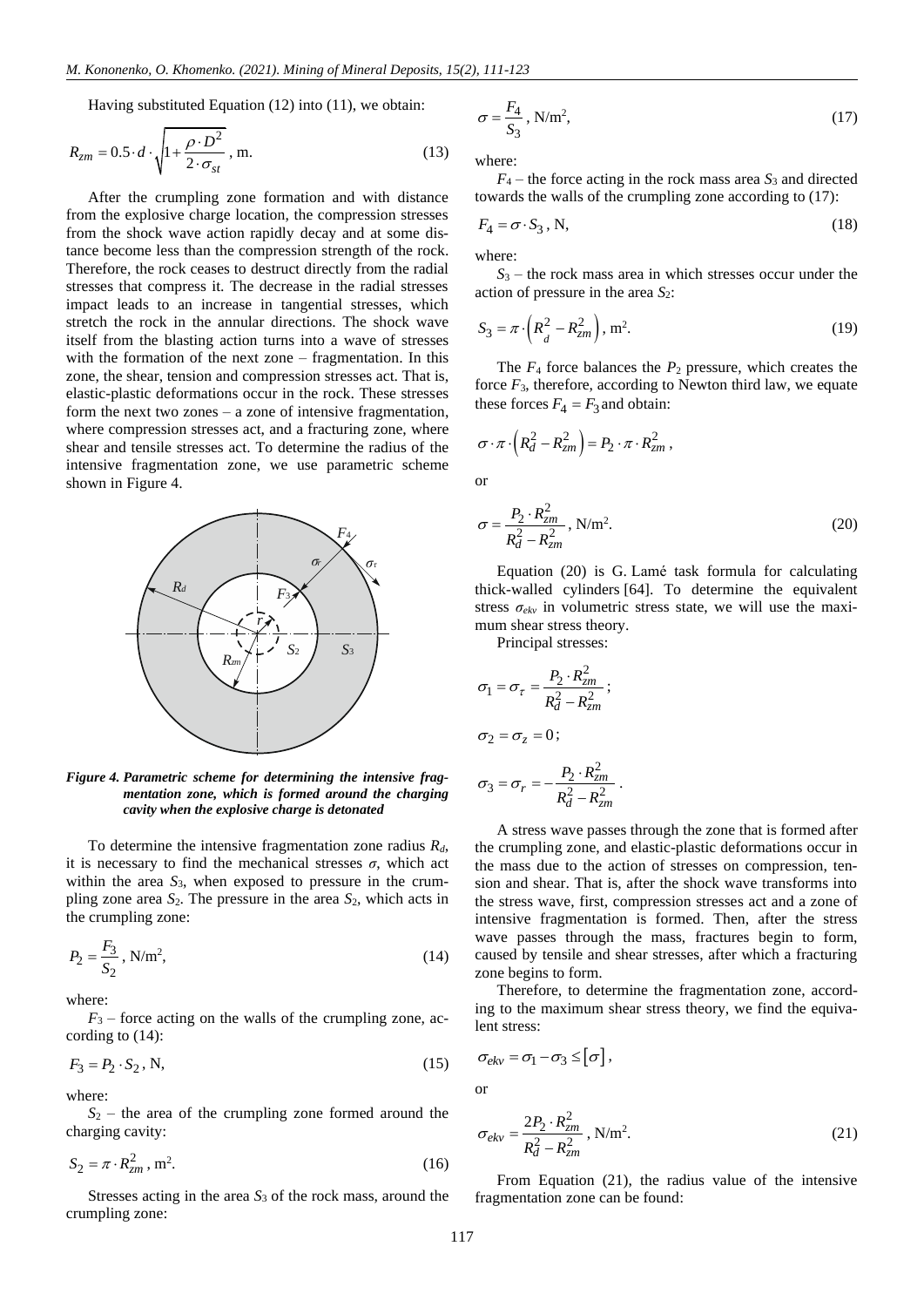Having substituted Equation (12) into (11), we obtain:

$$
R_{zm} = 0.5 \cdot d \cdot \sqrt{1 + \frac{\rho \cdot D^2}{2 \cdot \sigma_{st}}}, \text{ m.}
$$
 (13)

After the crumpling zone formation and with distance from the explosive charge location, the compression stresses from the shock wave action rapidly decay and at some distance become less than the compression strength of the rock. Therefore, the rock ceases to destruct directly from the radial stresses that compress it. The decrease in the radial stresses impact leads to an increase in tangential stresses, which stretch the rock in the annular directions. The shock wave itself from the blasting action turns into a wave of stresses with the formation of the next zone – fragmentation. In this zone, the shear, tension and compression stresses act. That is, elastic-plastic deformations occur in the rock. These stresses form the next two zones – a zone of intensive fragmentation, where compression stresses act, and a fracturing zone, where shear and tensile stresses act. To determine the radius of the intensive fragmentation zone, we use parametric scheme shown in Figure 4.



*Figure 4. Parametric scheme for determining the intensive fragmentation zone, which is formed around the charging cavity when the explosive charge is detonated*

To determine the intensive fragmentation zone radius *Rd*, it is necessary to find the mechanical stresses  $\sigma$ , which act within the area  $S_3$ , when exposed to pressure in the crumpling zone area *S*2. The pressure in the area *S*2, which acts in the crumpling zone:

$$
P_2 = \frac{F_3}{S_2}, \text{N/m}^2,\tag{14}
$$

where:

 $F_3$  – force acting on the walls of the crumpling zone, according to (14):

$$
F_3 = P_2 \cdot S_2, \text{N},\tag{15}
$$

where:

 $S_2$  – the area of the crumpling zone formed around the charging cavity:

$$
S_2 = \pi \cdot R_{zm}^2, \quad m^2. \tag{16}
$$

Stresses acting in the area *S*<sup>3</sup> of the rock mass, around the crumpling zone:

$$
\sigma = \frac{F_4}{S_3}, \text{N/m}^2,\tag{17}
$$

where:

 $F_4$  – the force acting in the rock mass area  $S_3$  and directed towards the walls of the crumpling zone according to (17):

$$
F_4 = \sigma \cdot S_3, \text{N},\tag{18}
$$

where:

*S*<sup>3</sup> – the rock mass area in which stresses occur under the action of pressure in the area *S*2:

$$
S_3 = \pi \cdot \left( R_d^2 - R_{zm}^2 \right), \, \text{m}^2. \tag{19}
$$

The  $F_4$  force balances the  $P_2$  pressure, which creates the force  $F_3$ , therefore, according to Newton third law, we equate these forces  $F_4 = F_3$  and obtain:

$$
\sigma \cdot \pi \cdot \left(R_d^2 - R_{zm}^2\right) = P_2 \cdot \pi \cdot R_{zm}^2,
$$

or

$$
\sigma = \frac{P_2 \cdot R_{zm}^2}{R_d^2 - R_{zm}^2}, \text{N/m}^2. \tag{20}
$$

Equation (20) is G. Lamé task formula for calculating thick-walled cylinders [\[64\].](#page-11-11) To determine the equivalent stress  $\sigma_{ekv}$  in volumetric stress state, we will use the maximum shear stress theory.

Principal stresses:

$$
\sigma_1 = \sigma_\tau = \frac{P_2 \cdot R_{zm}^2}{R_d^2 - R_{zm}^2};
$$
  

$$
\sigma_2 = \sigma_z = 0;
$$
  

$$
\sigma_3 = \sigma_r = -\frac{P_2 \cdot R_{zm}^2}{R_d^2 - R_{zm}^2}
$$

A stress wave passes through the zone that is formed after the crumpling zone, and elastic-plastic deformations occur in the mass due to the action of stresses on compression, tension and shear. That is, after the shock wave transforms into the stress wave, first, compression stresses act and a zone of intensive fragmentation is formed. Then, after the stress wave passes through the mass, fractures begin to form, caused by tensile and shear stresses, after which a fracturing zone begins to form.

.

Therefore, to determine the fragmentation zone, according to the maximum shear stress theory, we find the equivalent stress:

$$
\sigma_{ekv} = \sigma_1 - \sigma_3 \leq [\sigma],
$$

or

$$
\sigma_{ekv} = \frac{2P_2 \cdot R_{zm}^2}{R_d^2 - R_{zm}^2}, \text{ N/m}^2. \tag{21}
$$

From Equation (21), the radius value of the intensive fragmentation zone can be found: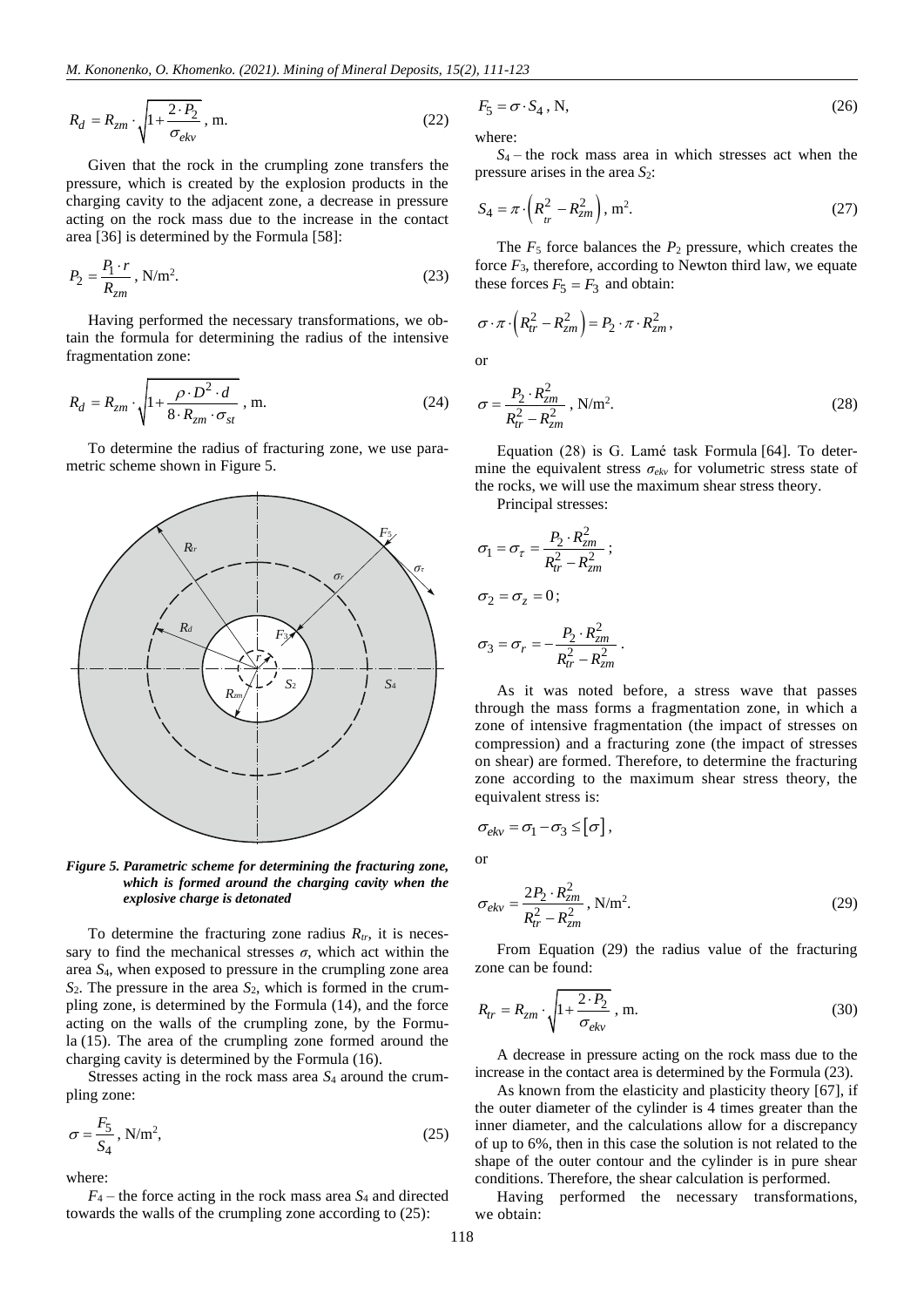$$
R_d = R_{zm} \cdot \sqrt{1 + \frac{2 \cdot P_2}{\sigma_{ekv}}}, \text{ m.}
$$
 (22)

Given that the rock in the crumpling zone transfers the pressure, which is created by the explosion products in the charging cavity to the adjacent zone, a decrease in pressure acting on the rock mass due to the increase in the contact area [\[36\]](#page-10-26) is determined by the Formula [\[58\]:](#page-11-5)

$$
P_2 = \frac{P_1 \cdot r}{R_{zm}}, \text{N/m}^2. \tag{23}
$$

Having performed the necessary transformations, we obtain the formula for determining the radius of the intensive fragmentation zone:

$$
R_d = R_{zm} \cdot \sqrt{1 + \frac{\rho \cdot D^2 \cdot d}{8 \cdot R_{zm} \cdot \sigma_{st}}}, \text{ m.}
$$
 (24)

To determine the radius of fracturing zone, we use parametric scheme shown in Figure 5.



*Figure 5. Parametric scheme for determining the fracturing zone, which is formed around the charging cavity when the explosive charge is detonated*

To determine the fracturing zone radius  $R_{tr}$ , it is necessary to find the mechanical stresses  $\sigma$ , which act within the area *S*4, when exposed to pressure in the crumpling zone area *S*2. The pressure in the area *S*2, which is formed in the crumpling zone, is determined by the Formula (14), and the force acting on the walls of the crumpling zone, by the Formula (15). The area of the crumpling zone formed around the charging cavity is determined by the Formula (16).

Stresses acting in the rock mass area *S*<sup>4</sup> around the crumpling zone:

$$
\sigma = \frac{F_5}{S_4}, \text{N/m}^2,\tag{25}
$$

where:

*F*<sup>4</sup> – the force acting in the rock mass area *S*<sup>4</sup> and directed towards the walls of the crumpling zone according to (25):

$$
F_5 = \sigma \cdot S_4, \text{N},\tag{26}
$$

where:

*S*<sup>4</sup> – the rock mass area in which stresses act when the pressure arises in the area  $S_2$ :

$$
S_4 = \pi \cdot \left( R_{tr}^2 - R_{zm}^2 \right), \, \text{m}^2. \tag{27}
$$

The  $F_5$  force balances the  $P_2$  pressure, which creates the force  $F_3$ , therefore, according to Newton third law, we equate these forces  $F_5 = F_3$  and obtain:

$$
\sigma \cdot \pi \cdot \left(R_{tr}^2 - R_{zm}^2\right) = P_2 \cdot \pi \cdot R_{zm}^2,
$$
  
or

;

.

$$
\sigma = \frac{P_2 \cdot R_{zm}^2}{R_{tr}^2 - R_{zm}^2}, \text{ N/m}^2. \tag{28}
$$

Equation (28) is G. Lamé task Formula [\[64\].](#page-11-11) To determine the equivalent stress *σekv* for volumetric stress state of the rocks, we will use the maximum shear stress theory.

Principal stresses:

$$
\sigma_1 = \sigma_\tau = \frac{P_2 \cdot R_{zm}^2}{R_{tr}^2 - R_{zm}^2};
$$
  

$$
\sigma_2 = \sigma_z = 0;
$$
  

$$
\sigma_3 = \sigma_r = -\frac{P_2 \cdot R_{zm}^2}{R_{tr}^2 - R_{zm}^2}
$$

As it was noted before, a stress wave that passes through the mass forms a fragmentation zone, in which a zone of intensive fragmentation (the impact of stresses on compression) and a fracturing zone (the impact of stresses on shear) are formed. Therefore, to determine the fracturing zone according to the maximum shear stress theory, the equivalent stress is:

$$
\sigma_{ekv} = \sigma_1 - \sigma_3 \leq [\sigma],
$$

or

$$
\sigma_{ekv} = \frac{2P_2 \cdot R_{zm}^2}{R_{tr}^2 - R_{zm}^2}, \text{ N/m}^2. \tag{29}
$$

From Equation (29) the radius value of the fracturing zone can be found:

$$
R_{tr} = R_{zm} \cdot \sqrt{1 + \frac{2 \cdot P_2}{\sigma_{ekv}}} \,, \, \text{m.}
$$
 (30)

A decrease in pressure acting on the rock mass due to the increase in the contact area is determined by the Formula (23).

As known from the elasticity and plasticity theory [\[67\],](#page-11-14) if the outer diameter of the cylinder is 4 times greater than the inner diameter, and the calculations allow for a discrepancy of up to 6%, then in this case the solution is not related to the shape of the outer contour and the cylinder is in pure shear conditions. Therefore, the shear calculation is performed.

Having performed the necessary transformations, we obtain: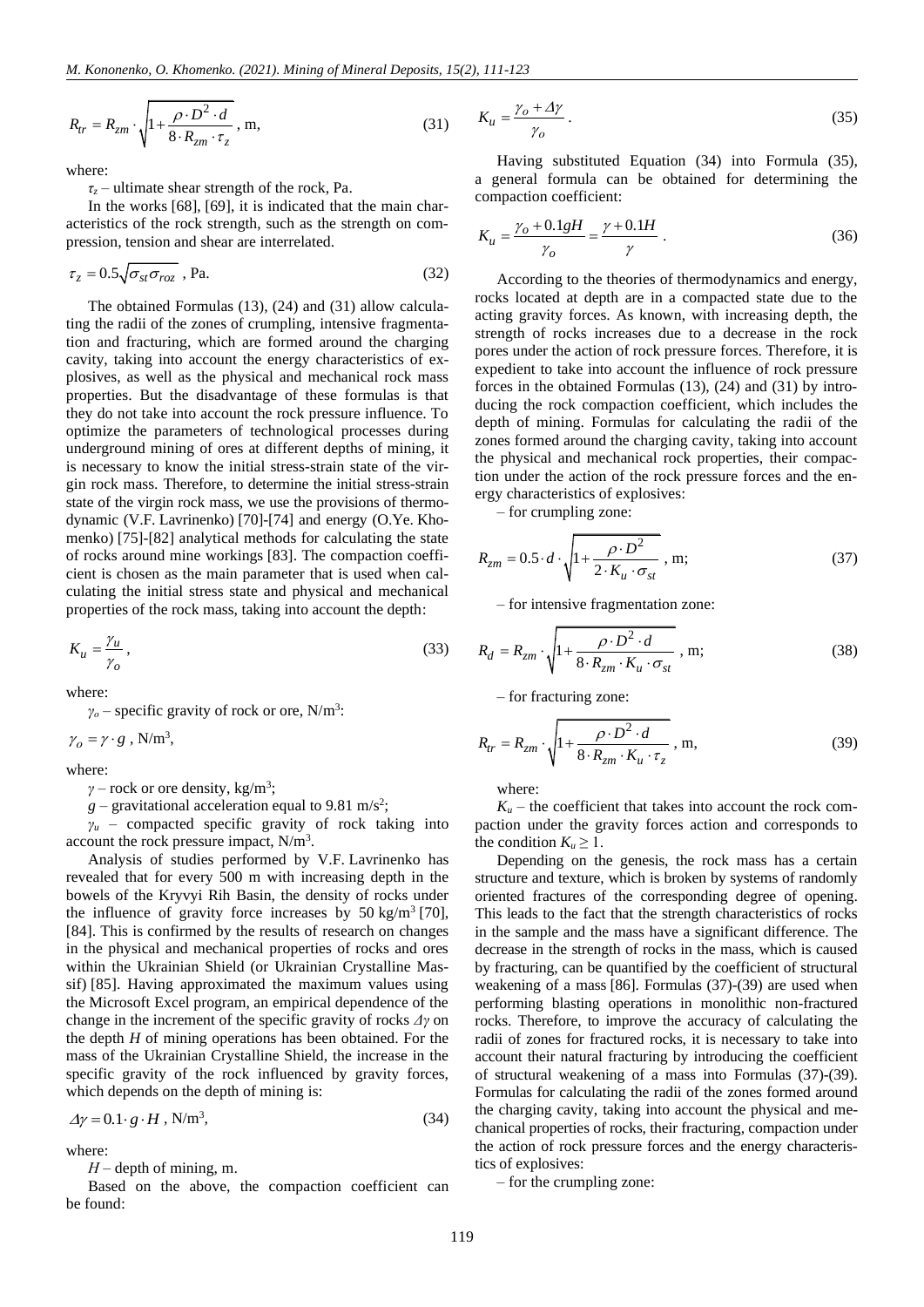$$
R_{tr} = R_{zm} \cdot \sqrt{1 + \frac{\rho \cdot D^2 \cdot d}{8 \cdot R_{zm} \cdot \tau_z}} \,, \, \text{m}, \tag{31}
$$

where:

*τ<sup>z</sup>* – ultimate shear strength of the rock, Pa.

In the works [\[68\],](#page-11-15) [\[69\],](#page-11-16) it is indicated that the main characteristics of the rock strength, such as the strength on compression, tension and shear are interrelated.

$$
\tau_z = 0.5 \sqrt{\sigma_{st} \sigma_{roz}} \, , \text{Pa.} \tag{32}
$$

The obtained Formulas (13), (24) and (31) allow calculating the radii of the zones of crumpling, intensive fragmentation and fracturing, which are formed around the charging cavity, taking into account the energy characteristics of explosives, as well as the physical and mechanical rock mass properties. But the disadvantage of these formulas is that they do not take into account the rock pressure influence. To optimize the parameters of technological processes during underground mining of ores at different depths of mining, it is necessary to know the initial stress-strain state of the virgin rock mass. Therefore, to determine the initial stress-strain state of the virgin rock mass, we use the provisions of thermodynamic (V.F. Lavrinenko) [\[70\]-](#page-11-17)[\[74\]](#page-11-18) and energy (O.Ye. Khomenko) [\[75\]](#page-11-19)[-\[82\]](#page-11-20) analytical methods for calculating the state of rocks around mine workings [\[83\].](#page-11-21) The compaction coefficient is chosen as the main parameter that is used when calculating the initial stress state and physical and mechanical properties of the rock mass, taking into account the depth:

$$
K_u = \frac{\gamma_u}{\gamma_o},\tag{33}
$$

where:

 $\gamma$ <sup>*o*</sup> – specific gravity of rock or ore, N/m<sup>3</sup>:

 $\gamma_o = \gamma \cdot g$  ,  ${\rm N/m^3},$ 

where:

 $\gamma$  – rock or ore density, kg/m<sup>3</sup>;

 $g$  – gravitational acceleration equal to 9.81 m/s<sup>2</sup>;

 $\gamma$ <sup>*u*</sup> – compacted specific gravity of rock taking into account the rock pressure impact,  $N/m<sup>3</sup>$ .

Analysis of studies performed by V.F. Lavrinenko has revealed that for every 500 m with increasing depth in the bowels of the Kryvyi Rih Basin, the density of rocks under the influence of gravity force increases by  $50 \text{ kg/m}^3$  [\[70\],](#page-11-17) [\[84\].](#page-11-22) This is confirmed by the results of research on changes in the physical and mechanical properties of rocks and ores within the Ukrainian Shield (or Ukrainian Crystalline Massif) [\[85\].](#page-11-23) Having approximated the maximum values using the Microsoft Excel program, an empirical dependence of the change in the increment of the specific gravity of rocks *Δγ* on the depth *H* of mining operations has been obtained. For the mass of the Ukrainian Crystalline Shield, the increase in the specific gravity of the rock influenced by gravity forces, which depends on the depth of mining is:

$$
\Delta \gamma = 0.1 \cdot g \cdot H, \text{ N/m}^3,
$$
\n(34)

where:

*Н* – depth of mining, m.

Based on the above, the compaction coefficient can be found:

$$
K_u = \frac{\gamma_o + \Delta \gamma}{\gamma_o} \,. \tag{35}
$$

Having substituted Equation (34) into Formula (35), a general formula can be obtained for determining the compaction coefficient:

$$
K_{u} = \frac{\gamma_{o} + 0.1gH}{\gamma_{o}} = \frac{\gamma + 0.1H}{\gamma} \tag{36}
$$

According to the theories of thermodynamics and energy, rocks located at depth are in a compacted state due to the acting gravity forces. As known, with increasing depth, the strength of rocks increases due to a decrease in the rock pores under the action of rock pressure forces. Therefore, it is expedient to take into account the influence of rock pressure forces in the obtained Formulas (13), (24) and (31) by introducing the rock compaction coefficient, which includes the depth of mining. Formulas for calculating the radii of the zones formed around the charging cavity, taking into account the physical and mechanical rock properties, their compaction under the action of the rock pressure forces and the energy characteristics of explosives:

– for crumpling zone:

$$
R_{zm} = 0.5 \cdot d \cdot \sqrt{1 + \frac{\rho \cdot D^2}{2 \cdot K_u \cdot \sigma_{st}}}, \text{ m};
$$
 (37)

– for intensive fragmentation zone:

$$
R_d = R_{zm} \cdot \sqrt{1 + \frac{\rho \cdot D^2 \cdot d}{8 \cdot R_{zm} \cdot K_u \cdot \sigma_{st}}}, \text{ m};
$$
 (38)

– for fracturing zone:

$$
R_{tr} = R_{zm} \cdot \sqrt{1 + \frac{\rho \cdot D^2 \cdot d}{8 \cdot R_{zm} \cdot K_u \cdot \tau_z}} \,, \, \text{m}, \tag{39}
$$

where:

 $K_u$  – the coefficient that takes into account the rock compaction under the gravity forces action and corresponds to the condition  $K_u \geq 1$ .

Depending on the genesis, the rock mass has a certain structure and texture, which is broken by systems of randomly oriented fractures of the corresponding degree of opening. This leads to the fact that the strength characteristics of rocks in the sample and the mass have a significant difference. The decrease in the strength of rocks in the mass, which is caused by fracturing, can be quantified by the coefficient of structural weakening of a mass [\[86\].](#page-11-24) Formulas (37)-(39) are used when performing blasting operations in monolithic non-fractured rocks. Therefore, to improve the accuracy of calculating the radii of zones for fractured rocks, it is necessary to take into account their natural fracturing by introducing the coefficient of structural weakening of a mass into Formulas (37)-(39). Formulas for calculating the radii of the zones formed around the charging cavity, taking into account the physical and mechanical properties of rocks, their fracturing, compaction under the action of rock pressure forces and the energy characteristics of explosives:

– for the crumpling zone: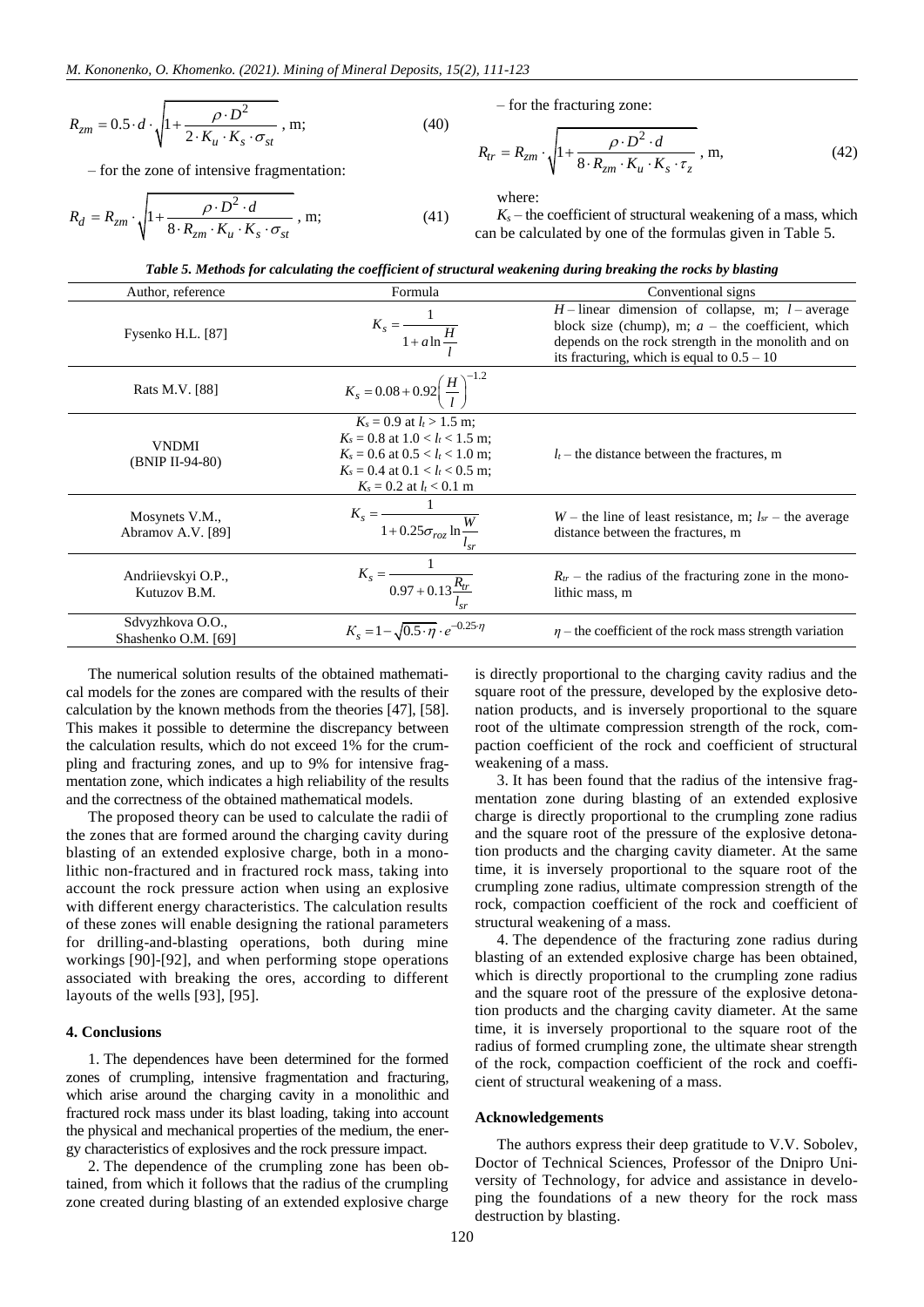$$
R_{zm} = 0.5 \cdot d \cdot \sqrt{1 + \frac{\rho \cdot D^2}{2 \cdot K_u \cdot K_s \cdot \sigma_{st}}}, \text{ m};
$$
 (40)

– for the zone of intensive fragmentation:

$$
R_d = R_{zm} \cdot \sqrt{1 + \frac{\rho \cdot D^2 \cdot d}{8 \cdot R_{zm} \cdot K_u \cdot K_s \cdot \sigma_{st}}}, \text{ m};
$$
 (41)

– for the fracturing zone:

$$
R_{tr} = R_{zm} \cdot \sqrt{1 + \frac{\rho \cdot D^2 \cdot d}{8 \cdot R_{zm} \cdot K_u \cdot K_s \cdot \tau_z}} \,, \, \text{m}, \tag{42}
$$

where:

 $K_s$  – the coefficient of structural weakening of a mass, which can be calculated by one of the formulas given in Table 5.

| Author, reference                       | Formula                                                                                                                                                                            | Conventional signs                                                                                                                                                                                                 |  |  |
|-----------------------------------------|------------------------------------------------------------------------------------------------------------------------------------------------------------------------------------|--------------------------------------------------------------------------------------------------------------------------------------------------------------------------------------------------------------------|--|--|
| Fysenko H.L. [87]                       | $K_s = \frac{1}{1 + a \ln \frac{H}{l}}$                                                                                                                                            | $H$ – linear dimension of collapse, m; $l$ – average<br>block size (chump), m; $a$ – the coefficient, which<br>depends on the rock strength in the monolith and on<br>its fracturing, which is equal to $0.5 - 10$ |  |  |
| Rats M.V. [88]                          | $K_s = 0.08 + 0.92 \left(\frac{H}{I}\right)^{-1.2}$                                                                                                                                |                                                                                                                                                                                                                    |  |  |
| <b>VNDMI</b><br>(BNIP II-94-80)         | $K_s = 0.9$ at $l_t > 1.5$ m:<br>$K_s = 0.8$ at $1.0 < l_t < 1.5$ m;<br>$K_s = 0.6$ at $0.5 < l_t < 1.0$ m;<br>$K_s = 0.4$ at $0.1 < l_t < 0.5$ m;<br>$K_s = 0.2$ at $l_t < 0.1$ m | $l_t$ – the distance between the fractures, m                                                                                                                                                                      |  |  |
| Mosynets V.M.,<br>Abramov A.V. [89]     | $K_s = \frac{1}{1 + 0.25 \sigma_{roz} \ln \frac{W}{I}}$                                                                                                                            | $W$ – the line of least resistance, m; $l_{sr}$ – the average<br>distance between the fractures, m                                                                                                                 |  |  |
| Andriievskyi O.P.,<br>Kutuzov B.M.      | $K_s = \frac{1}{0.97 + 0.13 \frac{R_{tr}}{l}}$                                                                                                                                     | $R_{tr}$ – the radius of the fracturing zone in the mono-<br>lithic mass, m                                                                                                                                        |  |  |
| Sdvyzhkova O.O.,<br>Shashenko O.M. [69] | $K_s = 1 - \sqrt{0.5 \cdot \eta} \cdot e^{-0.25 \cdot \eta}$                                                                                                                       | $\eta$ – the coefficient of the rock mass strength variation                                                                                                                                                       |  |  |

The numerical solution results of the obtained mathematical models for the zones are compared with the results of their calculation by the known methods from the theories [\[47\],](#page-10-37) [\[58\].](#page-11-5) This makes it possible to determine the discrepancy between the calculation results, which do not exceed 1% for the crumpling and fracturing zones, and up to 9% for intensive fragmentation zone, which indicates a high reliability of the results and the correctness of the obtained mathematical models.

The proposed theory can be used to calculate the radii of the zones that are formed around the charging cavity during blasting of an extended explosive charge, both in a monolithic non-fractured and in fractured rock mass, taking into account the rock pressure action when using an explosive with different energy characteristics. The calculation results of these zones will enable designing the rational parameters for drilling-and-blasting operations, both during mine workings [\[90\]](#page-11-28)[-\[92\],](#page-11-29) and when performing stope operations associated with breaking the ores, according to different layouts of the wells [\[93\],](#page-11-30) [\[95\].](#page-11-31)

## **4. Conclusions**

1. The dependences have been determined for the formed zones of crumpling, intensive fragmentation and fracturing, which arise around the charging cavity in a monolithic and fractured rock mass under its blast loading, taking into account the physical and mechanical properties of the medium, the energy characteristics of explosives and the rock pressure impact.

2. The dependence of the crumpling zone has been obtained, from which it follows that the radius of the crumpling zone created during blasting of an extended explosive charge is directly proportional to the charging cavity radius and the square root of the pressure, developed by the explosive detonation products, and is inversely proportional to the square root of the ultimate compression strength of the rock, compaction coefficient of the rock and coefficient of structural weakening of a mass.

3. It has been found that the radius of the intensive fragmentation zone during blasting of an extended explosive charge is directly proportional to the crumpling zone radius and the square root of the pressure of the explosive detonation products and the charging cavity diameter. At the same time, it is inversely proportional to the square root of the crumpling zone radius, ultimate compression strength of the rock, compaction coefficient of the rock and coefficient of structural weakening of a mass.

4. The dependence of the fracturing zone radius during blasting of an extended explosive charge has been obtained, which is directly proportional to the crumpling zone radius and the square root of the pressure of the explosive detonation products and the charging cavity diameter. At the same time, it is inversely proportional to the square root of the radius of formed crumpling zone, the ultimate shear strength of the rock, compaction coefficient of the rock and coefficient of structural weakening of a mass.

#### **Acknowledgements**

The authors express their deep gratitude to V.V. Sobolev, Doctor of Technical Sciences, Professor of the Dnipro University of Technology, for advice and assistance in developing the foundations of a new theory for the rock mass destruction by blasting.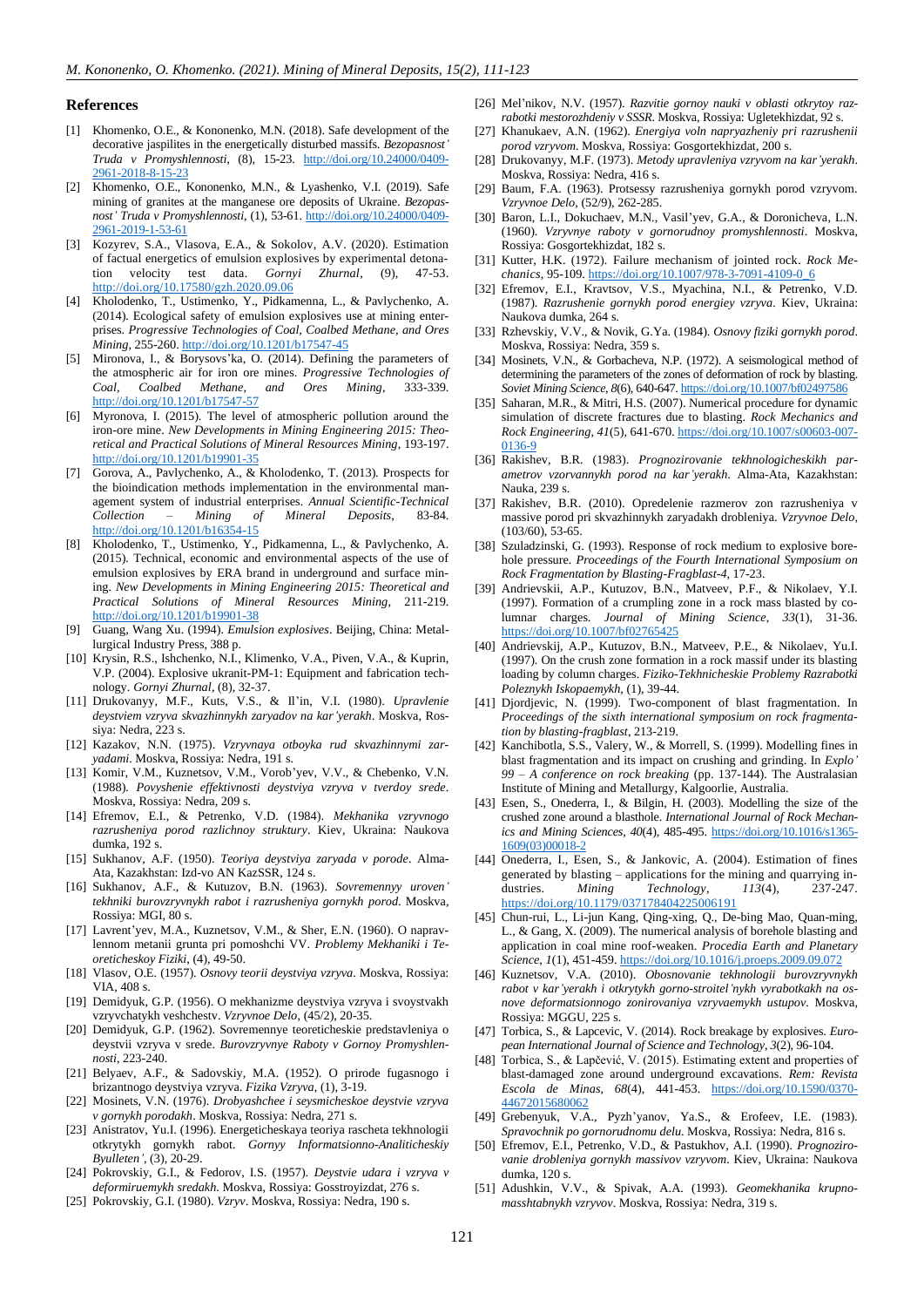#### **References**

- <span id="page-10-0"></span>[1] Khomenko, O.E., & Kononenko, M.N. (2018). Safe development of the decorative jaspilites in the energetically disturbed massifs. *Bezopasnost' Truda v Promyshlennosti*, (8), 15-23. [http://doi.org/10.24000/0409-](http://doi.org/10.24000/0409-2961-2018-8-15-23) [2961-2018-8-15-23](http://doi.org/10.24000/0409-2961-2018-8-15-23)
- <span id="page-10-1"></span>[2] Khomenko, O.E., Kononenko, M.N., & Lyashenko, V.I. (2019). Safe mining of granites at the manganese ore deposits of Ukraine. *Bezopasnost' Truda v Promyshlennosti*, (1), 53-61. [http://doi.org/10.24000/0409-](http://doi.org/10.24000/0409-2961-2019-1-53-61) [2961-2019-1-53-61](http://doi.org/10.24000/0409-2961-2019-1-53-61)
- <span id="page-10-2"></span>[3] Kozyrev, S.A., Vlasova, E.A., & Sokolov, A.V. (2020). Estimation of factual energetics of emulsion explosives by experimental detonation velocity test data. *Gornyi Zhurnal*, (9), 47-53. <http://doi.org/10.17580/gzh.2020.09.06>
- <span id="page-10-3"></span>[4] Kholodenko, T., Ustimenko, Y., Pidkamenna, L., & Pavlychenko, A. (2014). Ecological safety of emulsion explosives use at mining enterprises. *Progressive Technologies of Coal, Coalbed Methane, and Ores Mining*, 255-260[. http://doi.org/10.1201/b17547-45](http://doi.org/10.1201/b17547-45)
- <span id="page-10-4"></span>[5] Mironova, I., & Borysovs'ka, O. (2014). Defining the parameters of the atmospheric air for iron ore mines. *Progressive Technologies of Coal, Coalbed Methane, and Ores Mining*, 333-339. <http://doi.org/10.1201/b17547-57>
- [6] Myronova, I. (2015). The level of atmospheric pollution around the iron-ore mine. *New Developments in Mining Engineering 2015: Theoretical and Practical Solutions of Mineral Resources Mining*, 193-197. <http://doi.org/10.1201/b19901-35>
- [7] Gorova, A., Pavlychenko, A., & Kholodenko, T. (2013). Prospects for the bioindication methods implementation in the environmental management system of industrial enterprises. *Annual Scientific-Technical Collection – Mining of Mineral Deposits*, 83-84. <http://doi.org/10.1201/b16354-15>
- <span id="page-10-5"></span>[8] Kholodenko, T., Ustimenko, Y., Pidkamenna, L., & Pavlychenko, A. (2015). Technical, economic and environmental aspects of the use of emulsion explosives by ERA brand in underground and surface mining. *New Developments in Mining Engineering 2015: Theoretical and Practical Solutions of Mineral Resources Mining*, 211-219. <http://doi.org/10.1201/b19901-38>
- <span id="page-10-6"></span>[9] Guang, Wang Xu. (1994). *Emulsion explosives*. Beijing, China: Metallurgical Industry Press, 388 p.
- <span id="page-10-7"></span>[10] Krysin, R.S., Ishchenko, N.I., Klimenko, V.A., Piven, V.A., & Kuprin, V.P. (2004). Explosive ukranit-PM-1: Equipment and fabrication technology. *Gornyi Zhurnal*, (8), 32-37.
- <span id="page-10-8"></span>[11] Drukovanyy, M.F., Kuts, V.S., & Il'in, V.I. (1980). *Upravlenie deystviem vzryva skvazhinnykh zaryadov na kar'yerakh*. Moskva, Rossiya: Nedra, 223 s.
- <span id="page-10-9"></span>[12] Kazakov, N.N. (1975). *Vzryvnaya otboyka rud skvazhinnymi zaryadami*. Moskva, Rossiya: Nedra, 191 s.
- <span id="page-10-10"></span>[13] Komir, V.M., Kuznetsov, V.M., Vorob'yev, V.V., & Chebenko, V.N. (1988). *Povyshenie effektivnosti deystviya vzryva v tverdoy srede*. Moskva, Rossiya: Nedra, 209 s.
- <span id="page-10-11"></span>[14] Efremov, E.I., & Petrenko, V.D. (1984). *Mekhanika vzryvnogo razrusheniya porod razlichnoy struktury*. Kiev, Ukraina: Naukova dumka, 192 s.
- <span id="page-10-12"></span>[15] Sukhanov, A.F. (1950). *Teoriya deystviya zaryada v porode*. Alma-Ata, Kazakhstan: Izd-vo AN KazSSR, 124 s.
- <span id="page-10-13"></span>[16] Sukhanov, A.F., & Kutuzov, B.N. (1963). *Sovremennyy uroven' tekhniki burovzryvnykh rabot i razrusheniya gornykh porod*. Moskva, Rossiya: MGI, 80 s.
- <span id="page-10-14"></span>[17] Lavrent'yev, M.A., Kuznetsov, V.M., & Sher, E.N. (1960). O napravlennom metanii grunta pri pomoshchi VV. *Problemy Mekhaniki i Teoreticheskoy Fiziki*, (4), 49-50.
- <span id="page-10-15"></span>[18] Vlasov, O.E. (1957). *Osnovy teorii deystviya vzryva*. Moskva, Rossiya: VIA, 408 s.
- <span id="page-10-16"></span>[19] Demidyuk, G.P. (1956). O mekhanizme deystviya vzryva i svoystvakh vzryvchatykh veshchestv. *Vzryvnoe Delo*, (45/2), 20-35.
- [20] Demidyuk, G.P. (1962). Sovremennye teoreticheskie predstavleniya o deystvii vzryva v srede. *Burovzryvnye Raboty v Gornoy Promyshlennosti*, 223-240.
- <span id="page-10-17"></span>[21] Belyaev, A.F., & Sadovskiy, M.A. (1952). O prirode fugasnogo i brizantnogo deystviya vzryva. *Fizika Vzryva*, (1), 3-19.
- <span id="page-10-18"></span>[22] Mosinets, V.N. (1976). *Drobyashchee i seysmicheskoe deystvie vzryva v gornykh porodakh*. Moskva, Rossiya: Nedra, 271 s.
- <span id="page-10-19"></span>[23] Anistratov, Yu.I. (1996). Energeticheskaya teoriya rascheta tekhnologii otkrytykh gornykh rabot. *Gornyy Informatsionno-Analiticheskiy Byulleten'*, (3), 20-29.
- <span id="page-10-20"></span>[24] Pokrovskiy, G.I., & Fedorov, I.S. (1957). *Deystvie udara i vzryva v deformiruemykh sredakh*. Moskva, Rossiya: Gosstroyizdat, 276 s.
- <span id="page-10-21"></span>[25] Pokrovskiy, G.I. (1980). *Vzryv*. Moskva, Rossiya: Nedra, 190 s.
- <span id="page-10-22"></span>[26] Mel'nikov, N.V. (1957). *Razvitie gornoy nauki v oblasti otkrytoy razrabotki mestorozhdeniy v SSSR*. Moskva, Rossiya: Ugletekhizdat, 92 s.
- [27] Khanukaev, A.N. (1962). *Energiya voln napryazheniy pri razrushenii porod vzryvom*. Moskva, Rossiya: Gosgortekhizdat, 200 s.
- [28] Drukovanyy, M.F. (1973). *Metody upravleniya vzryvom na kar'yerakh*. Moskva, Rossiya: Nedra, 416 s.
- [29] Baum, F.A. (1963). Protsessy razrusheniya gornykh porod vzryvom. *Vzryvnoe Delo*, (52/9), 262-285.
- [30] Baron, L.I., Dokuchaev, M.N., Vasil'yev, G.A., & Doronicheva, L.N. (1960). *Vzryvnye raboty v gornorudnoy promyshlennosti*. Moskva, Rossiya: Gosgortekhizdat, 182 s.
- [31] Kutter, H.K. (1972). Failure mechanism of jointed rock. *Rock Mechanics*, 95-109[. https://doi.org/10.1007/978-3-7091-4109-0\\_6](https://doi.org/10.1007/978-3-7091-4109-0_6)
- [32] Efremov, E.I., Kravtsov, V.S., Myachina, N.I., & Petrenko, V.D. (1987). *Razrushenie gornykh porod energiey vzryva*. Kiev, Ukraina: Naukova dumka, 264 s.
- <span id="page-10-23"></span>[33] Rzhevskiy, V.V., & Novik, G.Ya. (1984). *Osnovy fiziki gornykh porod*. Moskva, Rossiya: Nedra, 359 s.
- <span id="page-10-24"></span>[34] Mosinets, V.N., & Gorbacheva, N.P. (1972). A seismological method of determining the parameters of the zones of deformation of rock by blasting. *Soviet Mining Science*, *8*(6), 640-647[. https://doi.org/10.1007/bf02497586](https://doi.org/10.1007/bf02497586)
- <span id="page-10-25"></span>[35] Saharan, M.R., & Mitri, H.S. (2007). Numerical procedure for dynamic simulation of discrete fractures due to blasting. *Rock Mechanics and Rock Engineering*, *41*(5), 641-670[. https://doi.org/10.1007/s00603-007-](https://doi.org/10.1007/s00603-007-0136-9) [0136-9](https://doi.org/10.1007/s00603-007-0136-9)
- <span id="page-10-26"></span>[36] Rakishev, B.R. (1983). *Prognozirovanie tekhnologicheskikh parametrov vzorvannykh porod na kar'yerakh*. Alma-Ata, Kazakhstan: Nauka, 239 s.
- <span id="page-10-27"></span>[37] Rakishev, B.R. (2010). Opredelenie razmerov zon razrusheniya v massive porod pri skvazhinnykh zaryadakh drobleniya. *Vzryvnoe Delo*, (103/60), 53-65.
- <span id="page-10-28"></span>[38] Szuladzinski, G. (1993). Response of rock medium to explosive borehole pressure. *Proceedings of the Fourth International Symposium on Rock Fragmentation by Blasting-Fragblast-4*, 17-23.
- <span id="page-10-29"></span>[39] Andrievskii, A.P., Kutuzov, B.N., Matveev, P.F., & Nikolaev, Y.I. (1997). Formation of a crumpling zone in a rock mass blasted by columnar charges. *Journal of Mining Science*, *33*(1), 31-36. <https://doi.org/10.1007/bf02765425>
- <span id="page-10-30"></span>[40] Andrievskij, A.P., Kutuzov, B.N., Matveev, P.E., & Nikolaev, Yu.I. (1997). On the crush zone formation in a rock massif under its blasting loading by column charges. *Fiziko-Tekhnicheskie Problemy Razrabotki Poleznykh Iskopaemykh*, (1), 39-44.
- <span id="page-10-31"></span>[41] Djordjevic, N. (1999). Two-component of blast fragmentation. In *Proceedings of the sixth international symposium on rock fragmentation by blasting-fragblast*, 213-219.
- <span id="page-10-32"></span>[42] Kanchibotla, S.S., Valery, W., & Morrell, S. (1999). Modelling fines in blast fragmentation and its impact on crushing and grinding. In *Explo' 99 – A conference on rock breaking* (pp. 137-144). The Australasian Institute of Mining and Metallurgy, Kalgoorlie, Australia.
- <span id="page-10-33"></span>[43] Esen, S., Onederra, I., & Bilgin, H. (2003). Modelling the size of the crushed zone around a blasthole. *International Journal of Rock Mechanics and Mining Sciences*, *40*(4), 485-495. [https://doi.org/10.1016/s1365-](https://doi.org/10.1016/s1365-1609(03)00018-2) [1609\(03\)00018-2](https://doi.org/10.1016/s1365-1609(03)00018-2)
- <span id="page-10-34"></span>[44] Onederra, I., Esen, S., & Jankovic, A. (2004). Estimation of fines generated by blasting – applications for the mining and quarrying industries. *Mining Technology*, *113*(4), 237-247. <https://doi.org/10.1179/037178404225006191>
- <span id="page-10-35"></span>[45] Chun-rui, L., Li-jun Kang, Qing-xing, Q., De-bing Mao, Quan-ming, L., & Gang, X. (2009). The numerical analysis of borehole blasting and application in coal mine roof-weaken. *Procedia Earth and Planetary Science*, *1*(1), 451-459[. https://doi.org/10.1016/j.proeps.2009.09.072](https://doi.org/10.1016/j.proeps.2009.09.072)
- <span id="page-10-36"></span>[46] Kuznetsov, V.A. (2010). *Obosnovanie tekhnologii burovzryvnykh rabot v kar'yerakh i otkrytykh gorno-stroitel'nykh vyrabotkakh na osnove deformatsionnogo zonirovaniya vzryvaemykh ustupov*. Moskva, Rossiya: MGGU, 225 s.
- <span id="page-10-37"></span>[47] Torbica, S., & Lapcevic, V. (2014). Rock breakage by explosives. *European International Journal of Science and Technology*, *3*(2), 96-104.
- <span id="page-10-38"></span>[48] Torbica, S., & Lapčević, V. (2015). Estimating extent and properties of blast-damaged zone around underground excavations. *Rem: Revista Escola de Minas*, *68*(4), 441-453. [https://doi.org/10.1590/0370-](https://doi.org/10.1590/0370-44672015680062) [44672015680062](https://doi.org/10.1590/0370-44672015680062)
- <span id="page-10-39"></span>[49] Grebenyuk, V.A., Pyzh'yanov, Ya.S., & Erofeev, I.E. (1983). *Spravochnik po gornorudnomu delu*. Moskva, Rossiya: Nedra, 816 s.
- <span id="page-10-40"></span>[50] Efremov, E.I., Petrenko, V.D., & Pastukhov, A.I. (1990). *Prognozirovanie drobleniya gornykh massivov vzryvom*. Kiev, Ukraina: Naukova dumka, 120 s.
- <span id="page-10-41"></span>[51] Adushkin, V.V., & Spivak, A.A. (1993). *Geomekhanika krupnomasshtabnykh vzryvov*. Moskva, Rossiya: Nedra, 319 s.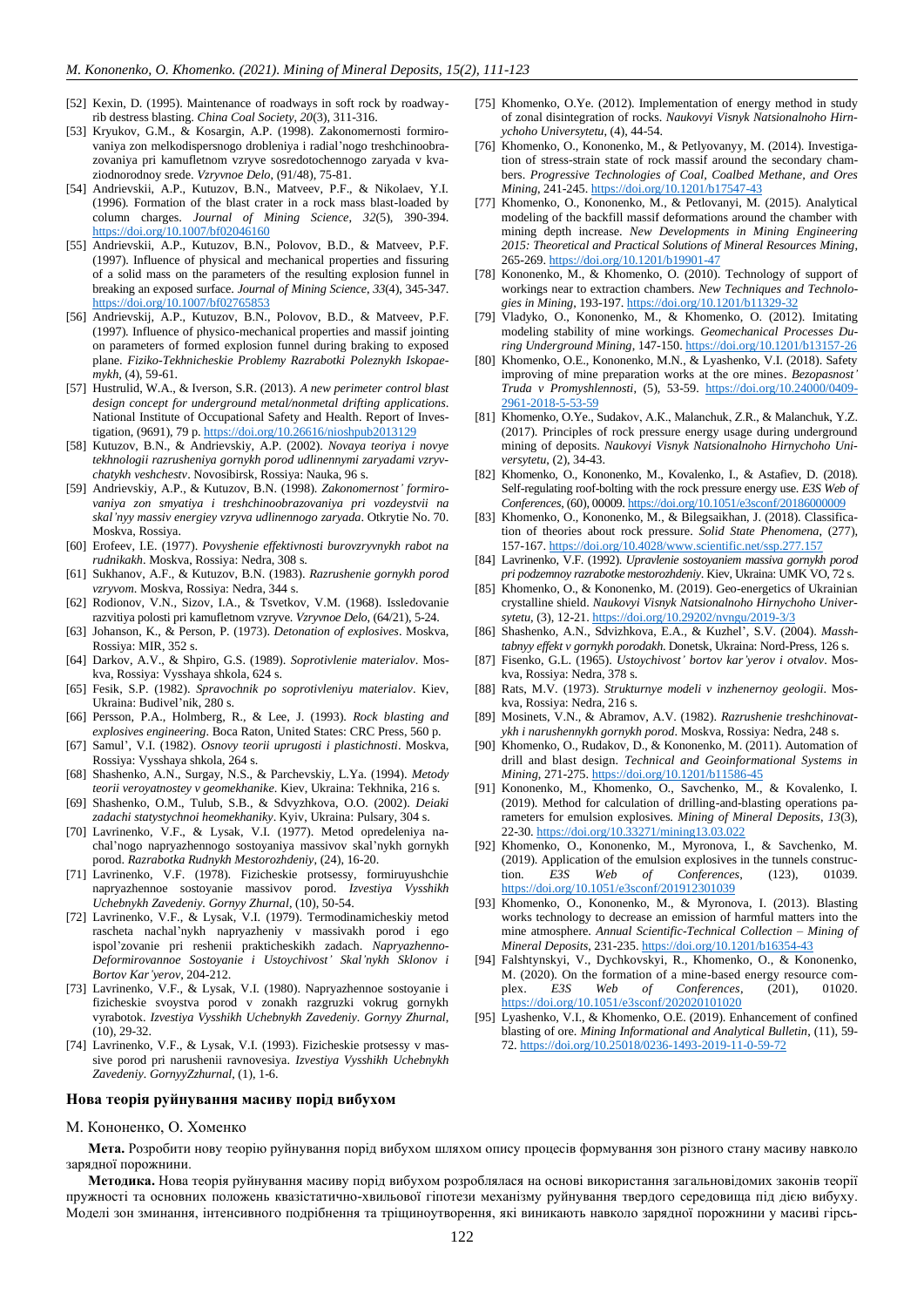- <span id="page-11-0"></span>[52] Kexin, D. (1995). Maintenance of roadways in soft rock by roadwayrib destress blasting. *China Coal Society*, *20*(3), 311-316.
- <span id="page-11-1"></span>[53] Kryukov, G.M., & Kosargin, A.P. (1998). Zakonomernosti formirovaniya zon melkodispersnogo drobleniya i radial'nogo treshchinoobrazovaniya pri kamufletnom vzryve sosredotochennogo zaryada v kvaziodnorodnoy srede. *Vzryvnoe Delo*, (91/48), 75-81.
- <span id="page-11-2"></span>[54] Andrievskii, A.P., Kutuzov, B.N., Matveev, P.F., & Nikolaev, Y.I. (1996). Formation of the blast crater in a rock mass blast-loaded by column charges. *Journal of Mining Science*, *32*(5), 390-394. <https://doi.org/10.1007/bf02046160>
- [55] Andrievskii, A.P., Kutuzov, B.N., Polovov, B.D., & Matveev, P.F. (1997). Influence of physical and mechanical properties and fissuring of a solid mass on the parameters of the resulting explosion funnel in breaking an exposed surface. *Journal of Mining Science*, *33*(4), 345-347. <https://doi.org/10.1007/bf02765853>
- <span id="page-11-3"></span>[56] Andrievskij, A.P., Kutuzov, B.N., Polovov, B.D., & Matveev, P.F. (1997). Influence of physico-mechanical properties and massif jointing on parameters of formed explosion funnel during braking to exposed plane. *Fiziko-Tekhnicheskie Problemy Razrabotki Poleznykh Iskopaemykh*, (4), 59-61.
- <span id="page-11-4"></span>[57] Hustrulid, W.A., & Iverson, S.R. (2013). *A new perimeter control blast design concept for underground metal/nonmetal drifting applications*. National Institute of Occupational Safety and Health. Report of Investigation, (9691), 79 p[. https://doi.org/10.26616/nioshpub2013129](https://doi.org/10.26616/nioshpub2013129)
- <span id="page-11-5"></span>[58] Kutuzov, B.N., & Andrievskiy, A.P. (2002). *Novaya teoriya i novye tekhnologii razrusheniya gornykh porod udlinennymi zaryadami vzryvchatykh veshchestv*. Novosibirsk, Rossiya: Nauka, 96 s.
- <span id="page-11-6"></span>[59] Andrievskiy, A.P., & Kutuzov, B.N. (1998). *Zakonomernost' formirovaniya zon smyatiya i treshchinoobrazovaniya pri vozdeystvii na skal'nyy massiv energiey vzryva udlinennogo zaryada*. Otkrytie No. 70. Moskva, Rossiya.
- <span id="page-11-7"></span>[60] Erofeev, I.E. (1977). *Povyshenie effektivnosti burovzryvnykh rabot na rudnikakh*. Moskva, Rossiya: Nedra, 308 s.
- <span id="page-11-8"></span>[61] Sukhanov, A.F., & Kutuzov, B.N. (1983). *Razrushenie gornykh porod vzryvom*. Moskva, Rossiya: Nedra, 344 s.
- <span id="page-11-9"></span>[62] Rodionov, V.N., Sizov, I.A., & Tsvetkov, V.M. (1968). Issledovanie razvitiya polosti pri kamufletnom vzryve. *Vzryvnoe Delo*, (64/21), 5-24.
- <span id="page-11-10"></span>[63] Johanson, K., & Person, P. (1973). *Detonation of explosives*. Moskva, Rossiya: MIR, 352 s.
- <span id="page-11-11"></span>[64] Darkov, A.V., & Shpiro, G.S. (1989). *Soprotivlenie materialov*. Moskva, Rossiya: Vysshaya shkola, 624 s.
- <span id="page-11-12"></span>[65] Fesik, S.P. (1982). *Spravochnik po soprotivleniyu materialov*. Kiev, Ukraina: Budivel'nik, 280 s.
- <span id="page-11-13"></span>[66] Persson, P.A., Holmberg, R., & Lee, J. (1993). *Rock blasting and explosives engineering*. Boca Raton, United States: CRC Press, 560 p.
- <span id="page-11-14"></span>[67] Samul', V.I. (1982). *Osnovy teorii uprugosti i plastichnosti*. Moskva, Rossiya: Vysshaya shkola, 264 s.
- <span id="page-11-15"></span>[68] Shashenko, A.N., Surgay, N.S., & Parchevskiy, L.Ya. (1994). *Metody teorii veroyatnostey v geomekhanike*. Kiev, Ukraina: Tekhnika, 216 s.
- <span id="page-11-16"></span>[69] Shashenko, O.M., Tulub, S.B., & Sdvyzhkova, O.O. (2002). *Deiaki zadachi statystychnoi heomekhaniky*. Kyiv, Ukraina: Pulsary, 304 s.
- <span id="page-11-17"></span>[70] Lavrinenko, V.F., & Lysak, V.I. (1977). Metod opredeleniya nachal'nogo napryazhennogo sostoyaniya massivov skal'nykh gornykh porod. *Razrabotka Rudnykh Mestorozhdeniy*, (24), 16-20.
- [71] Lavrinenko, V.F. (1978). Fizicheskie protsessy, formiruyushchie napryazhennoe sostoyanie massivov porod. *Izvestiya Vysshikh Uchebnykh Zavedeniy. Gornyy Zhurnal*, (10), 50-54.
- [72] Lavrinenko, V.F., & Lysak, V.I. (1979). Termodinamicheskiy metod rascheta nachal'nykh napryazheniy v massivakh porod i ego ispol'zovanie pri reshenii prakticheskikh zadach. *Napryazhenno-Deformirovannoe Sostoyanie i Ustoychivost' Skal'nykh Sklonov i Bortov Kar'yerov*, 204-212.
- [73] Lavrinenko, V.F., & Lysak, V.I. (1980). Napryazhennoe sostoyanie i fizicheskie svoystva porod v zonakh razgruzki vokrug gornykh vyrabotok. *Izvestiya Vysshikh Uchebnykh Zavedeniy. Gornyy Zhurnal*, (10), 29-32.
- <span id="page-11-18"></span>[74] Lavrinenko, V.F., & Lysak, V.I. (1993). Fizicheskie protsessy v massive porod pri narushenii ravnovesiya. *Izvestiya Vysshikh Uchebnykh Zavedeniy. GornyyZzhurnal*, (1), 1-6.

#### **Нова теорія руйнування масиву порід вибухом**

#### М. Кононенко, О. Хоменко

<span id="page-11-19"></span>[75] Khomenko, O.Ye. (2012). Implementation of energy method in study of zonal disintegration of rocks. *Naukovyi Visnyk Natsionalnoho Hirnychoho Universytetu*, (4), 44-54.

- [76] Khomenko, O., Kononenko, M., & Petlyovanyy, M. (2014). Investigation of stress-strain state of rock massif around the secondary chambers. *Progressive Technologies of Coal, Coalbed Methane, and Ores Mining*, 241-245[. https://doi.org/10.1201/b17547-43](https://doi.org/10.1201/b17547-43)
- [77] Khomenko, O., Kononenko, M., & Petlovanyi, M. (2015). Analytical modeling of the backfill massif deformations around the chamber with mining depth increase. *New Developments in Mining Engineering 2015: Theoretical and Practical Solutions of Mineral Resources Mining*, 265-269.<https://doi.org/10.1201/b19901-47>
- [78] Kononenko, M., & Khomenko, O. (2010). Technology of support of workings near to extraction chambers. *New Techniques and Technologies in Mining*, 193-197. <https://doi.org/10.1201/b11329-32>
- [79] Vladyko, O., Kononenko, M., & Khomenko, O. (2012). Imitating modeling stability of mine workings. *Geomechanical Processes During Underground Mining*, 147-150.<https://doi.org/10.1201/b13157-26>
- [80] Khomenko, O.E., Kononenko, M.N., & Lyashenko, V.I. (2018). Safety improving of mine preparation works at the ore mines. *Bezopasnost' Truda v Promyshlennosti*, (5), 53-59. [https://doi.org/10.24000/0409-](https://doi.org/10.24000/0409-2961-2018-5-53-59) [2961-2018-5-53-59](https://doi.org/10.24000/0409-2961-2018-5-53-59)
- [81] Khomenko, O.Ye., Sudakov, A.K., Malanchuk, Z.R., & Malanchuk, Y.Z. (2017). Principles of rock pressure energy usage during underground mining of deposits. *Naukovyi Visnyk Natsionalnoho Hirnychoho Universytetu*, (2), 34-43.
- <span id="page-11-20"></span>[82] Khomenko, O., Kononenko, M., Kovalenko, I., & Astafiev, D. (2018). Self-regulating roof-bolting with the rock pressure energy use. *E3S Web of Conferences*, (60), 00009[. https://doi.org/10.1051/e3sconf/20186000009](https://doi.org/10.1051/e3sconf/20186000009)
- <span id="page-11-21"></span>[83] Khomenko, O., Kononenko, M., & Bilegsaikhan, J. (2018). Classification of theories about rock pressure. *Solid State Phenomena*, (277), 157-167.<https://doi.org/10.4028/www.scientific.net/ssp.277.157>
- <span id="page-11-22"></span>[84] Lavrinenko, V.F. (1992). *Upravlenie sostoyaniem massiva gornykh porod pri podzemnoy razrabotke mestorozhdeniy*. Kiev, Ukraina: UMK VO, 72 s.
- <span id="page-11-23"></span>[85] Khomenko, O., & Kononenko, M. (2019). Geo-energetics of Ukrainian crystalline shield. *Naukovyi Visnyk Natsionalnoho Hirnychoho Universytetu*, (3), 12-21.<https://doi.org/10.29202/nvngu/2019-3/3>
- <span id="page-11-24"></span>[86] Shashenko, A.N., Sdvizhkova, E.A., & Kuzhel', S.V. (2004). *Masshtabnyy effekt v gornykh porodakh*. Donetsk, Ukraina: Nord-Press, 126 s.
- <span id="page-11-25"></span>[87] Fisenko, G.L. (1965). *Ustoychivost' bortov kar'yerov i otvalov*. Moskva, Rossiya: Nedra, 378 s.
- <span id="page-11-26"></span>[88] Rats, M.V. (1973). *Strukturnye modeli v inzhenernoy geologii*. Moskva, Rossiya: Nedra, 216 s.
- <span id="page-11-27"></span>[89] Mosinets, V.N., & Abramov, A.V. (1982). *Razrushenie treshchinovatykh i narushennykh gornykh porod*. Moskva, Rossiya: Nedra, 248 s.
- <span id="page-11-28"></span>[90] Khomenko, O., Rudakov, D., & Kononenko, M. (2011). Automation of drill and blast design. *Technical and Geoinformational Systems in Mining*, 271-275[. https://doi.org/10.1201/b11586-45](https://doi.org/10.1201/b11586-45)
- [91] Kononenko, M., Khomenko, O., Savchenko, M., & Kovalenko, I. (2019). Method for calculation of drilling-and-blasting operations parameters for emulsion explosives. *Mining of Mineral Deposits*, *13*(3), 22-30.<https://doi.org/10.33271/mining13.03.022>
- <span id="page-11-29"></span>[92] Khomenko, O., Kononenko, M., Myronova, I., & Savchenko, M. (2019). Application of the emulsion explosives in the tunnels construction. *E3S Web of Conferences*, (123), 01039. <https://doi.org/10.1051/e3sconf/201912301039>
- <span id="page-11-30"></span>[93] Khomenko, O., Kononenko, M., & Myronova, I. (2013). Blasting works technology to decrease an emission of harmful matters into the mine atmosphere. *Annual Scientific-Technical Collection – Mining of Mineral Deposits*, 231-235. <https://doi.org/10.1201/b16354-43>
- [94] Falshtynskyi, V., Dychkovskyi, R., Khomenko, O., & Kononenko, M. (2020). On the formation of a mine-based energy resource complex. *E3S Web of Conferences*, (201), 01020. <https://doi.org/10.1051/e3sconf/202020101020>
- <span id="page-11-31"></span>[95] Lyashenko, V.I., & Khomenko, O.E. (2019). Enhancement of confined blasting of ore. *Mining Informational and Analytical Bulletin*, (11), 59- 72[. https://doi.org/10.25018/0236-1493-2019-11-0-59-72](https://doi.org/10.25018/0236-1493-2019-11-0-59-72)

**Мета.** Розробити нову теорію руйнування порід вибухом шляхом опису процесів формування зон різного стану масиву навколо зарядної порожнини.

**Методика.** Нова теорія руйнування масиву порід вибухом розроблялася на основі використання загальновідомих законів теорії пружності та основних положень квазістатично-хвильової гіпотези механізму руйнування твердого середовища під дією вибуху. Моделі зон зминання, інтенсивного подрібнення та тріщиноутворення, які виникають навколо зарядної порожнини у масиві гірсь-